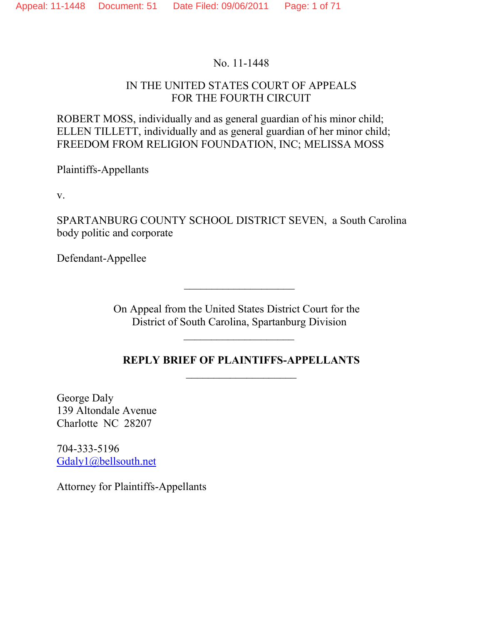## No. 11-1448

## IN THE UNITED STATES COURT OF APPEALS FOR THE FOURTH CIRCUIT

ROBERT MOSS, individually and as general guardian of his minor child; ELLEN TILLETT, individually and as general guardian of her minor child; FREEDOM FROM RELIGION FOUNDATION, INC; MELISSA MOSS

Plaintiffs-Appellants

v.

SPARTANBURG COUNTY SCHOOL DISTRICT SEVEN, a South Carolina body politic and corporate

Defendant-Appellee

On Appeal from the United States District Court for the District of South Carolina, Spartanburg Division

\_\_\_\_\_\_\_\_\_\_\_\_\_\_\_\_\_\_\_\_

\_\_\_\_\_\_\_\_\_\_\_\_\_\_\_\_\_\_\_\_

## **REPLY BRIEF OF PLAINTIFFS-APPELLANTS**  $\overline{\phantom{a}}$  , where  $\overline{\phantom{a}}$  , where  $\overline{\phantom{a}}$

George Daly 139 Altondale Avenue Charlotte NC 28207

704-333-5196 Gdaly1@bellsouth.net

Attorney for Plaintiffs-Appellants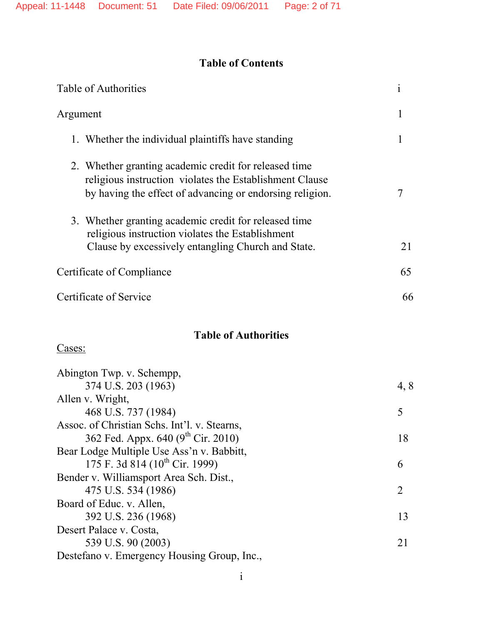Appeal: 11-1448 Document: 51 Date Filed: 09/06/2011 Page: 2 of 71

# **Table of Contents**

| Table of Authorities                                                                                                                                                         |     |  |
|------------------------------------------------------------------------------------------------------------------------------------------------------------------------------|-----|--|
| Argument                                                                                                                                                                     | 1   |  |
| 1. Whether the individual plaintiffs have standing                                                                                                                           | 1   |  |
| 2. Whether granting academic credit for released time<br>religious instruction violates the Establishment Clause<br>by having the effect of advancing or endorsing religion. | 7   |  |
| 3. Whether granting academic credit for released time<br>religious instruction violates the Establishment<br>Clause by excessively entangling Church and State.              | 21  |  |
| Certificate of Compliance                                                                                                                                                    | 65  |  |
| Certificate of Service                                                                                                                                                       | 66  |  |
| <b>Table of Authorities</b><br>Cases:                                                                                                                                        |     |  |
| Abington Twp. v. Schempp,<br>374 U.S. 203 (1963)                                                                                                                             | 4,8 |  |
| Allen v. Wright,<br>468 U.S. 737 (1984)                                                                                                                                      | 5   |  |
| Assoc. of Christian Schs. Int'l. v. Stearns,<br>362 Fed. Appx. 640 (9 <sup>th</sup> Cir. 2010)                                                                               | 18  |  |
| Bear Lodge Multiple Use Ass'n v. Babbitt,<br>175 F. 3d 814 (10 <sup>th</sup> Cir. 1999)                                                                                      | 6   |  |
| Bender v. Williamsport Area Sch. Dist.,                                                                                                                                      |     |  |
| 475 U.S. 534 (1986)<br>Board of Educ. v. Allen,                                                                                                                              | 2   |  |
| 392 U.S. 236 (1968)                                                                                                                                                          | 13  |  |
| Desert Palace v. Costa,<br>539 U.S. 90 (2003)<br>Destefano v. Emergency Housing Group, Inc.,                                                                                 | 21  |  |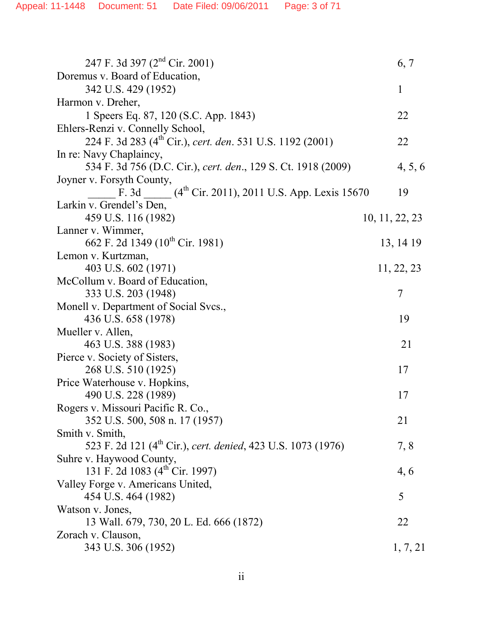| 247 F. 3d 397 (2 <sup>nd</sup> Cir. 2001)                                | 6, 7           |
|--------------------------------------------------------------------------|----------------|
| Doremus v. Board of Education,                                           |                |
| 342 U.S. 429 (1952)                                                      | $\mathbf{1}$   |
| Harmon v. Dreher,                                                        |                |
| 1 Speers Eq. 87, 120 (S.C. App. 1843)                                    | 22             |
| Ehlers-Renzi v. Connelly School,                                         |                |
| 224 F. 3d 283 (4 <sup>th</sup> Cir.), cert. den. 531 U.S. 1192 (2001)    | 22             |
| In re: Navy Chaplaincy,                                                  |                |
| 534 F. 3d 756 (D.C. Cir.), cert. den., 129 S. Ct. 1918 (2009)            | 4, 5, 6        |
| Joyner v. Forsyth County,                                                |                |
| F. 3d $(4^{th}$ Cir. 2011), 2011 U.S. App. Lexis 15670                   | 19             |
| Larkin v. Grendel's Den,                                                 |                |
| 459 U.S. 116 (1982)                                                      | 10, 11, 22, 23 |
| Lanner v. Wimmer,                                                        |                |
| 662 F. 2d 1349 (10 <sup>th</sup> Cir. 1981)                              | 13, 14 19      |
| Lemon v. Kurtzman,                                                       |                |
| 403 U.S. 602 (1971)                                                      | 11, 22, 23     |
| McCollum v. Board of Education,                                          |                |
| 333 U.S. 203 (1948)                                                      | 7              |
| Monell v. Department of Social Svcs.,                                    |                |
| 436 U.S. 658 (1978)                                                      | 19             |
| Mueller v. Allen,                                                        |                |
| 463 U.S. 388 (1983)                                                      | 21             |
| Pierce v. Society of Sisters,                                            |                |
| 268 U.S. 510 (1925)                                                      | 17             |
| Price Waterhouse v. Hopkins,                                             |                |
| 490 U.S. 228 (1989)                                                      | 17             |
| Rogers v. Missouri Pacific R. Co.,                                       |                |
| 352 U.S. 500, 508 n. 17 (1957)                                           | 21             |
| Smith v. Smith,                                                          |                |
| 523 F. 2d 121 (4 <sup>th</sup> Cir.), cert. denied, 423 U.S. 1073 (1976) | 7,8            |
| Suhre v. Haywood County,                                                 |                |
| 131 F. 2d 1083 (4 <sup>th</sup> Cir. 1997)                               | 4, 6           |
| Valley Forge v. Americans United,                                        |                |
| 454 U.S. 464 (1982)                                                      | 5              |
| Watson v. Jones,                                                         |                |
| 13 Wall. 679, 730, 20 L. Ed. 666 (1872)                                  | 22             |
| Zorach v. Clauson,                                                       |                |
| 343 U.S. 306 (1952)                                                      | 1, 7, 21       |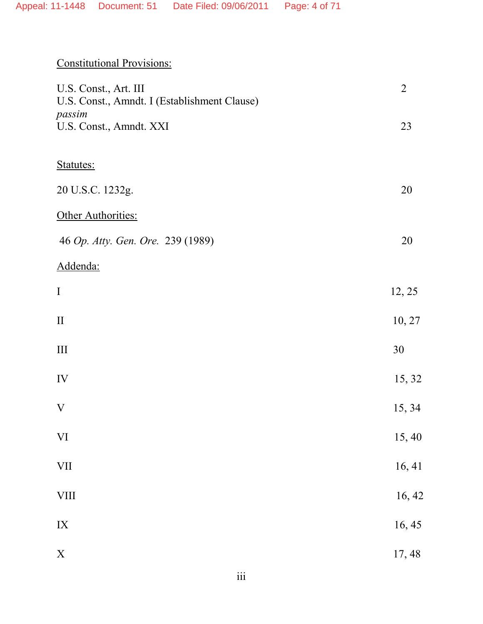# Constitutional Provisions:

| U.S. Const., Art. III<br>U.S. Const., Amndt. I (Establishment Clause) | $\overline{2}$ |
|-----------------------------------------------------------------------|----------------|
| passim<br>U.S. Const., Amndt. XXI                                     | 23             |
| Statutes:                                                             |                |
| 20 U.S.C. 1232g.                                                      | 20             |
| Other Authorities:                                                    |                |
| 46 Op. Atty. Gen. Ore. 239 (1989)                                     | 20             |
| Addenda:                                                              |                |
| $\mathbf I$                                                           | 12, 25         |
| $\rm II$                                                              | 10, 27         |
| III                                                                   | 30             |
| IV                                                                    | 15, 32         |
| $\ensuremath{\mathbf{V}}$                                             | 15, 34         |
| VI                                                                    | 15,40          |
| $\ensuremath{\text{V}}\ensuremath{\text{II}}$                         | 16, 41         |
| <b>VIII</b>                                                           | 16, 42         |
| ${\rm IX}$                                                            | 16, 45         |
| $\mathbf X$                                                           | 17,48          |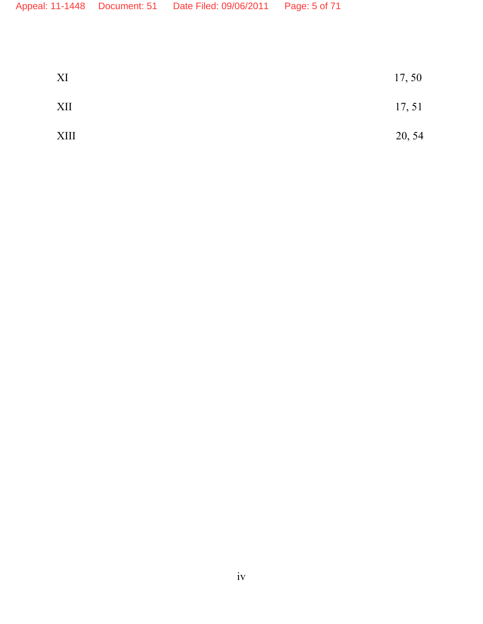| Appeal: 11-1448  Document: 51 | Date Filed: 09/06/2011  Page: 5 of 71 |  |
|-------------------------------|---------------------------------------|--|
|                               |                                       |  |

| XI   | 17,50  |
|------|--------|
| XII  | 17, 51 |
| XIII | 20, 54 |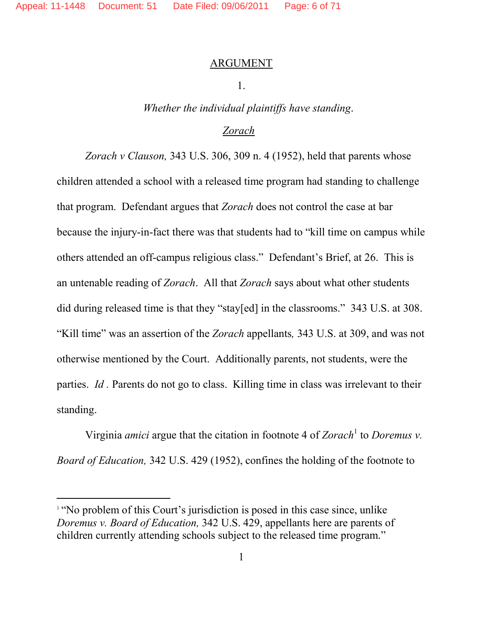#### ARGUMENT

1.

# *Whether the individual plaintiffs have standing*.

## *Zorach*

*Zorach v Clauson,* 343 U.S. 306, 309 n. 4 (1952), held that parents whose children attended a school with a released time program had standing to challenge that program. Defendant argues that *Zorach* does not control the case at bar because the injury-in-fact there was that students had to "kill time on campus while others attended an off-campus religious class." Defendant's Brief, at 26. This is an untenable reading of *Zorach*. All that *Zorach* says about what other students did during released time is that they "stay[ed] in the classrooms." 343 U.S. at 308. "Kill time" was an assertion of the *Zorach* appellants*,* 343 U.S. at 309, and was not otherwise mentioned by the Court. Additionally parents, not students, were the parties. *Id .* Parents do not go to class. Killing time in class was irrelevant to their standing.

Virginia *amici* argue that the citation in footnote 4 of *Zorach*<sup>1</sup> to *Doremus v*. *Board of Education,* 342 U.S. 429 (1952), confines the holding of the footnote to

<sup>&</sup>lt;sup>1</sup> "No problem of this Court's jurisdiction is posed in this case since, unlike *Doremus v. Board of Education,* 342 U.S. 429, appellants here are parents of children currently attending schools subject to the released time program."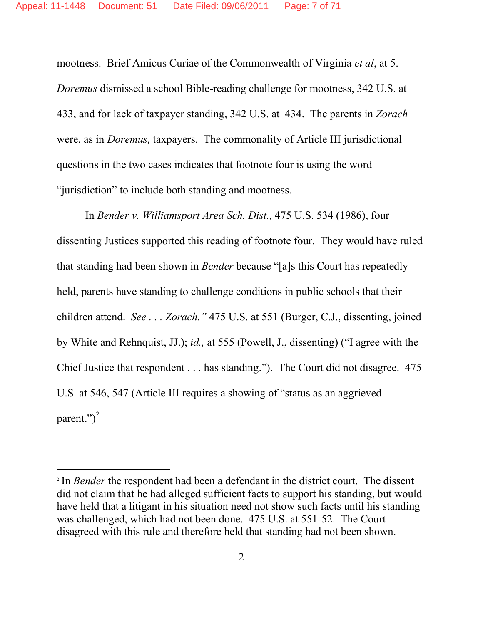mootness. Brief Amicus Curiae of the Commonwealth of Virginia *et al*, at 5. *Doremus* dismissed a school Bible-reading challenge for mootness, 342 U.S. at 433, and for lack of taxpayer standing, 342 U.S. at 434. The parents in *Zorach* were, as in *Doremus,* taxpayers. The commonality of Article III jurisdictional questions in the two cases indicates that footnote four is using the word "jurisdiction" to include both standing and mootness.

In *Bender v. Williamsport Area Sch. Dist.,* 475 U.S. 534 (1986), four dissenting Justices supported this reading of footnote four. They would have ruled that standing had been shown in *Bender* because "[a]s this Court has repeatedly held, parents have standing to challenge conditions in public schools that their children attend. *See . . . Zorach."* 475 U.S. at 551 (Burger, C.J., dissenting, joined by White and Rehnquist, JJ.); *id.,* at 555 (Powell, J., dissenting) ("I agree with the Chief Justice that respondent . . . has standing."). The Court did not disagree. 475 U.S. at 546, 547 (Article III requires a showing of "status as an aggrieved parent." $)^2$ 

<sup>&</sup>lt;sup>2</sup> In *Bender* the respondent had been a defendant in the district court. The dissent did not claim that he had alleged sufficient facts to support his standing, but would have held that a litigant in his situation need not show such facts until his standing was challenged, which had not been done. 475 U.S. at 551-52. The Court disagreed with this rule and therefore held that standing had not been shown.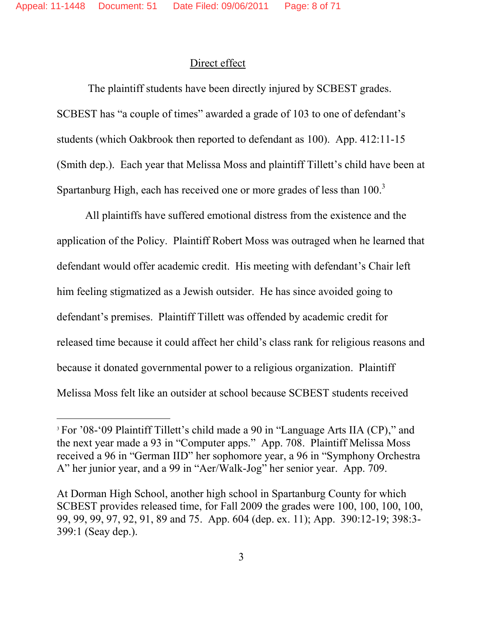## Direct effect

The plaintiff students have been directly injured by SCBEST grades. SCBEST has "a couple of times" awarded a grade of 103 to one of defendant's students (which Oakbrook then reported to defendant as 100). App. 412:11-15 (Smith dep.). Each year that Melissa Moss and plaintiff Tillett's child have been at Spartanburg High, each has received one or more grades of less than 100.<sup>3</sup>

All plaintiffs have suffered emotional distress from the existence and the application of the Policy. Plaintiff Robert Moss was outraged when he learned that defendant would offer academic credit. His meeting with defendant's Chair left him feeling stigmatized as a Jewish outsider. He has since avoided going to defendant's premises. Plaintiff Tillett was offended by academic credit for released time because it could affect her child's class rank for religious reasons and because it donated governmental power to a religious organization. Plaintiff Melissa Moss felt like an outsider at school because SCBEST students received

<sup>&</sup>lt;sup>3</sup> For '08-'09 Plaintiff Tillett's child made a 90 in "Language Arts IIA (CP)," and the next year made a 93 in "Computer apps." App. 708. Plaintiff Melissa Moss received a 96 in "German IID" her sophomore year, a 96 in "Symphony Orchestra A" her junior year, and a 99 in "Aer/Walk-Jog" her senior year. App. 709.

At Dorman High School, another high school in Spartanburg County for which SCBEST provides released time, for Fall 2009 the grades were 100, 100, 100, 100, 99, 99, 99, 97, 92, 91, 89 and 75. App. 604 (dep. ex. 11); App. 390:12-19; 398:3- 399:1 (Seay dep.).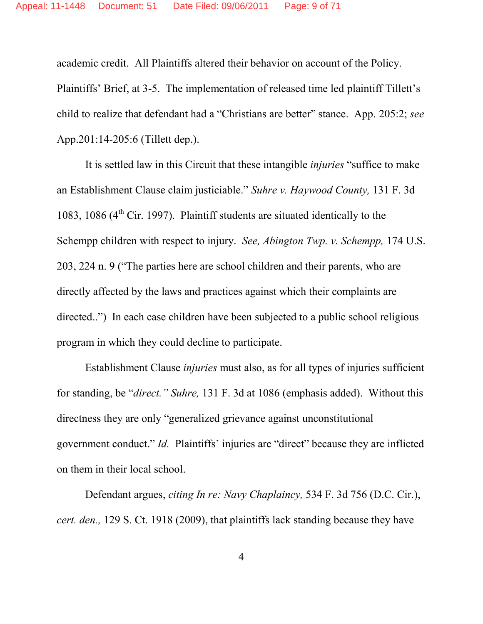academic credit. All Plaintiffs altered their behavior on account of the Policy. Plaintiffs' Brief, at 3-5. The implementation of released time led plaintiff Tillett's child to realize that defendant had a "Christians are better" stance. App. 205:2; *see* App.201:14-205:6 (Tillett dep.).

It is settled law in this Circuit that these intangible *injuries* "suffice to make an Establishment Clause claim justiciable." *Suhre v. Haywood County,* 131 F. 3d 1083, 1086 ( $4<sup>th</sup>$  Cir. 1997). Plaintiff students are situated identically to the Schempp children with respect to injury. *See, Abington Twp. v. Schempp,* 174 U.S. 203, 224 n. 9 ("The parties here are school children and their parents, who are directly affected by the laws and practices against which their complaints are directed..") In each case children have been subjected to a public school religious program in which they could decline to participate.

Establishment Clause *injuries* must also, as for all types of injuries sufficient for standing, be "*direct." Suhre,* 131 F. 3d at 1086 (emphasis added). Without this directness they are only "generalized grievance against unconstitutional government conduct." *Id.* Plaintiffs' injuries are "direct" because they are inflicted on them in their local school.

Defendant argues, *citing In re: Navy Chaplaincy,* 534 F. 3d 756 (D.C. Cir.), *cert. den.,* 129 S. Ct. 1918 (2009), that plaintiffs lack standing because they have

4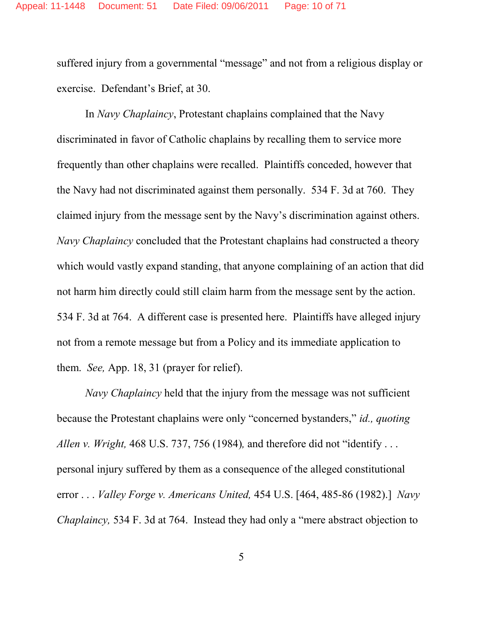suffered injury from a governmental "message" and not from a religious display or exercise. Defendant's Brief, at 30.

In *Navy Chaplaincy*, Protestant chaplains complained that the Navy discriminated in favor of Catholic chaplains by recalling them to service more frequently than other chaplains were recalled. Plaintiffs conceded, however that the Navy had not discriminated against them personally. 534 F. 3d at 760. They claimed injury from the message sent by the Navy's discrimination against others. *Navy Chaplaincy* concluded that the Protestant chaplains had constructed a theory which would vastly expand standing, that anyone complaining of an action that did not harm him directly could still claim harm from the message sent by the action. 534 F. 3d at 764. A different case is presented here. Plaintiffs have alleged injury not from a remote message but from a Policy and its immediate application to them. *See,* App. 18, 31 (prayer for relief).

*Navy Chaplaincy* held that the injury from the message was not sufficient because the Protestant chaplains were only "concerned bystanders," *id., quoting Allen v. Wright,* 468 U.S. 737, 756 (1984)*,* and therefore did not "identify . . . personal injury suffered by them as a consequence of the alleged constitutional error . . . *Valley Forge v. Americans United,* 454 U.S. [464, 485-86 (1982).] *Navy Chaplaincy,* 534 F. 3d at 764. Instead they had only a "mere abstract objection to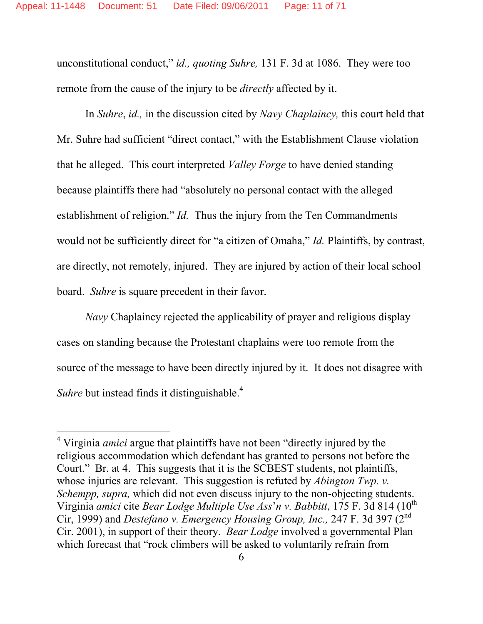unconstitutional conduct," *id., quoting Suhre,* 131 F. 3d at 1086. They were too remote from the cause of the injury to be *directly* affected by it.

In *Suhre*, *id.,* in the discussion cited by *Navy Chaplaincy,* this court held that Mr. Suhre had sufficient "direct contact," with the Establishment Clause violation that he alleged. This court interpreted *Valley Forge* to have denied standing because plaintiffs there had "absolutely no personal contact with the alleged establishment of religion." *Id.* Thus the injury from the Ten Commandments would not be sufficiently direct for "a citizen of Omaha," *Id.* Plaintiffs, by contrast, are directly, not remotely, injured. They are injured by action of their local school board. *Suhre* is square precedent in their favor.

*Navy* Chaplaincy rejected the applicability of prayer and religious display cases on standing because the Protestant chaplains were too remote from the source of the message to have been directly injured by it. It does not disagree with Suhre but instead finds it distinguishable.<sup>4</sup>

<sup>4</sup> Virginia *amici* argue that plaintiffs have not been "directly injured by the religious accommodation which defendant has granted to persons not before the Court." Br. at 4. This suggests that it is the SCBEST students, not plaintiffs, whose injuries are relevant. This suggestion is refuted by *Abington Twp. v. Schempp, supra,* which did not even discuss injury to the non-objecting students. Virginia *amici* cite *Bear Lodge Multiple Use Ass*'*n v. Babbitt*, 175 F. 3d 814 (10th Cir, 1999) and *Destefano v. Emergency Housing Group, Inc.*, 247 F. 3d 397 (2<sup>nd</sup>) Cir. 2001), in support of their theory. *Bear Lodge* involved a governmental Plan which forecast that "rock climbers will be asked to voluntarily refrain from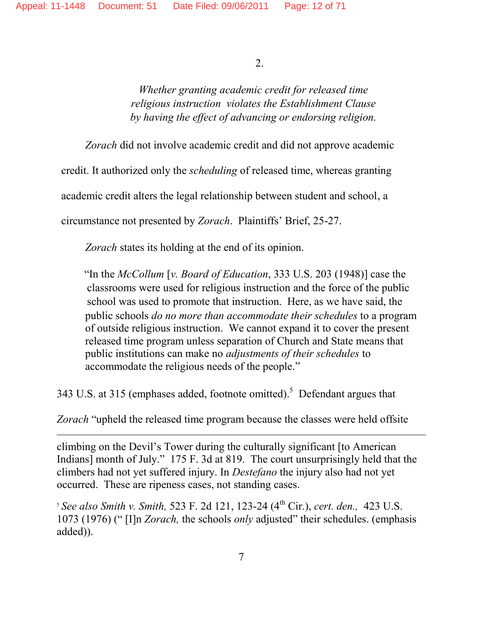2.

*Whether granting academic credit for released time religious instruction violates the Establishment Clause by having the effect of advancing or endorsing religion.*

*Zorach* did not involve academic credit and did not approve academic

credit. It authorized only the *scheduling* of released time, whereas granting

academic credit alters the legal relationship between student and school, a

circumstance not presented by *Zorach*. Plaintiffs' Brief, 25-27.

*Zorach* states its holding at the end of its opinion.

"In the *McCollum* [*v. Board of Education*, 333 U.S. 203 (1948)] case the classrooms were used for religious instruction and the force of the public school was used to promote that instruction. Here, as we have said, the public schools *do no more than accommodate their schedules* to a program of outside religious instruction. We cannot expand it to cover the present released time program unless separation of Church and State means that public institutions can make no *adjustments of their schedules* to accommodate the religious needs of the people."

343 U.S. at 315 (emphases added, footnote omitted).<sup>5</sup> Defendant argues that

*Zorach* "upheld the released time program because the classes were held offsite

climbing on the Devil's Tower during the culturally significant [to American Indians] month of July." 175 F. 3d at 819. The court unsurprisingly held that the climbers had not yet suffered injury. In *Destefano* the injury also had not yet occurred. These are ripeness cases, not standing cases.

<sup>5</sup> *See also Smith v. Smith,* 523 F. 2d 121, 123-24 (4th Cir.), *cert. den.,* 423 U.S. 1073 (1976) (" [I]n *Zorach,* the schools *only* adjusted" their schedules. (emphasis added)).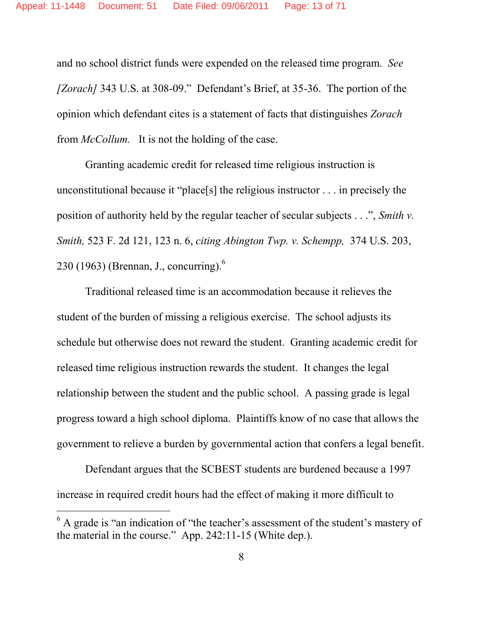and no school district funds were expended on the released time program. *See [Zorach]* 343 U.S. at 308-09." Defendant's Brief, at 35-36. The portion of the opinion which defendant cites is a statement of facts that distinguishes *Zorach* from *McCollum.* It is not the holding of the case.

Granting academic credit for released time religious instruction is unconstitutional because it "place[s] the religious instructor . . . in precisely the position of authority held by the regular teacher of secular subjects . . .", *Smith v. Smith,* 523 F. 2d 121, 123 n. 6, *citing Abington Twp. v. Schempp,* 374 U.S. 203, 230 (1963) (Brennan, J., concurring).<sup>6</sup>

Traditional released time is an accommodation because it relieves the student of the burden of missing a religious exercise. The school adjusts its schedule but otherwise does not reward the student. Granting academic credit for released time religious instruction rewards the student. It changes the legal relationship between the student and the public school. A passing grade is legal progress toward a high school diploma. Plaintiffs know of no case that allows the government to relieve a burden by governmental action that confers a legal benefit.

Defendant argues that the SCBEST students are burdened because a 1997 increase in required credit hours had the effect of making it more difficult to

 $<sup>6</sup>$  A grade is "an indication of "the teacher's assessment of the student's mastery of</sup> the material in the course." App. 242:11-15 (White dep.).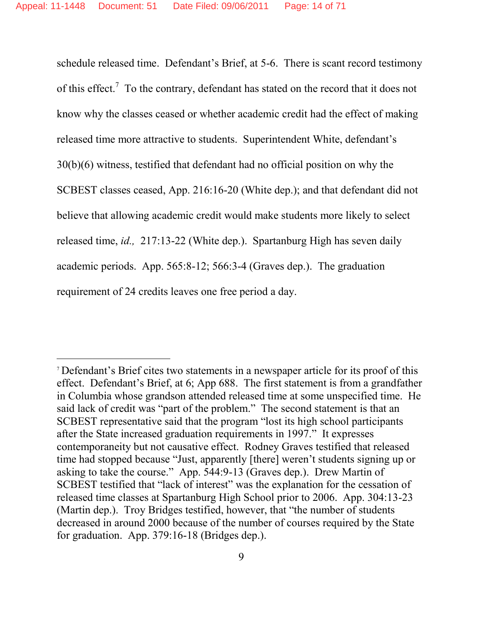schedule released time. Defendant's Brief, at 5-6. There is scant record testimony of this effect.<sup>7</sup> To the contrary, defendant has stated on the record that it does not know why the classes ceased or whether academic credit had the effect of making released time more attractive to students. Superintendent White, defendant's 30(b)(6) witness, testified that defendant had no official position on why the SCBEST classes ceased, App. 216:16-20 (White dep.); and that defendant did not believe that allowing academic credit would make students more likely to select released time, *id.,* 217:13-22 (White dep.). Spartanburg High has seven daily academic periods. App. 565:8-12; 566:3-4 (Graves dep.). The graduation requirement of 24 credits leaves one free period a day.

<sup>7</sup> Defendant's Brief cites two statements in a newspaper article for its proof of this effect. Defendant's Brief, at 6; App 688. The first statement is from a grandfather in Columbia whose grandson attended released time at some unspecified time. He said lack of credit was "part of the problem." The second statement is that an SCBEST representative said that the program "lost its high school participants after the State increased graduation requirements in 1997." It expresses contemporaneity but not causative effect. Rodney Graves testified that released time had stopped because "Just, apparently [there] weren't students signing up or asking to take the course." App. 544:9-13 (Graves dep.). Drew Martin of SCBEST testified that "lack of interest" was the explanation for the cessation of released time classes at Spartanburg High School prior to 2006. App. 304:13-23 (Martin dep.). Troy Bridges testified, however, that "the number of students decreased in around 2000 because of the number of courses required by the State for graduation. App. 379:16-18 (Bridges dep.).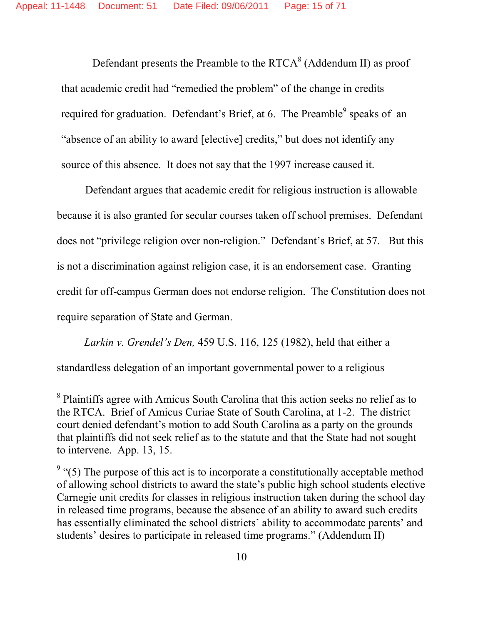Defendant presents the Preamble to the RTCA $<sup>8</sup>$  (Addendum II) as proof</sup> that academic credit had "remedied the problem" of the change in credits required for graduation. Defendant's Brief, at 6. The Preamble<sup>9</sup> speaks of an "absence of an ability to award [elective] credits," but does not identify any source of this absence. It does not say that the 1997 increase caused it.

Defendant argues that academic credit for religious instruction is allowable because it is also granted for secular courses taken off school premises. Defendant does not "privilege religion over non-religion." Defendant's Brief, at 57. But this is not a discrimination against religion case, it is an endorsement case. Granting credit for off-campus German does not endorse religion. The Constitution does not require separation of State and German.

*Larkin v. Grendel's Den,* 459 U.S. 116, 125 (1982), held that either a standardless delegation of an important governmental power to a religious

<sup>&</sup>lt;sup>8</sup> Plaintiffs agree with Amicus South Carolina that this action seeks no relief as to the RTCA. Brief of Amicus Curiae State of South Carolina, at 1-2. The district court denied defendant's motion to add South Carolina as a party on the grounds that plaintiffs did not seek relief as to the statute and that the State had not sought to intervene. App. 13, 15.

 $9$  "(5) The purpose of this act is to incorporate a constitutionally acceptable method of allowing school districts to award the state's public high school students elective Carnegie unit credits for classes in religious instruction taken during the school day in released time programs, because the absence of an ability to award such credits has essentially eliminated the school districts' ability to accommodate parents' and students' desires to participate in released time programs." (Addendum II)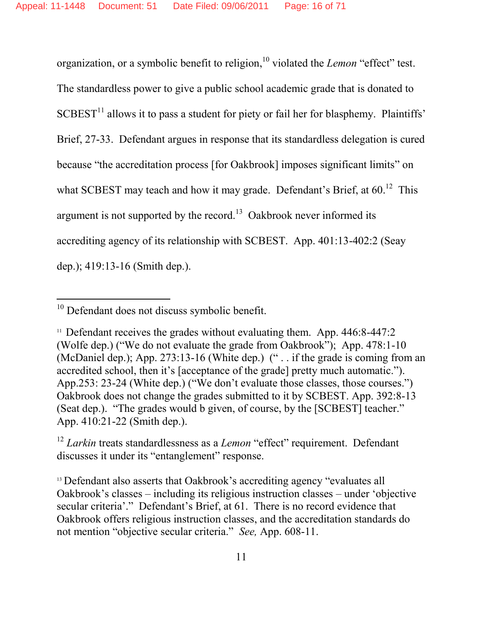organization, or a symbolic benefit to religion, <sup>10</sup> violated the *Lemon* "effect" test. The standardless power to give a public school academic grade that is donated to  $SCBEST<sup>11</sup>$  allows it to pass a student for piety or fail her for blasphemy. Plaintiffs' Brief, 27-33. Defendant argues in response that its standardless delegation is cured because "the accreditation process [for Oakbrook] imposes significant limits" on what SCBEST may teach and how it may grade. Defendant's Brief, at  $60$ .<sup>12</sup> This argument is not supported by the record.<sup>13</sup> Oakbrook never informed its accrediting agency of its relationship with SCBEST. App. 401:13-402:2 (Seay dep.); 419:13-16 (Smith dep.).

<sup>&</sup>lt;sup>10</sup> Defendant does not discuss symbolic benefit.

<sup>&</sup>lt;sup>11</sup> Defendant receives the grades without evaluating them. App. 446:8-447:2 (Wolfe dep.) ("We do not evaluate the grade from Oakbrook"); App. 478:1-10 (McDaniel dep.); App. 273:13-16 (White dep.) (" . . if the grade is coming from an accredited school, then it's [acceptance of the grade] pretty much automatic."). App.253: 23-24 (White dep.) ("We don't evaluate those classes, those courses.") Oakbrook does not change the grades submitted to it by SCBEST. App. 392:8-13 (Seat dep.). "The grades would b given, of course, by the [SCBEST] teacher." App. 410:21-22 (Smith dep.).

<sup>&</sup>lt;sup>12</sup> *Larkin* treats standardlessness as a *Lemon* "effect" requirement. Defendant discusses it under its "entanglement" response.

<sup>&</sup>lt;sup>13</sup> Defendant also asserts that Oakbrook's accrediting agency "evaluates all Oakbrook's classes – including its religious instruction classes – under 'objective secular criteria'." Defendant's Brief, at 61. There is no record evidence that Oakbrook offers religious instruction classes, and the accreditation standards do not mention "objective secular criteria." *See,* App. 608-11.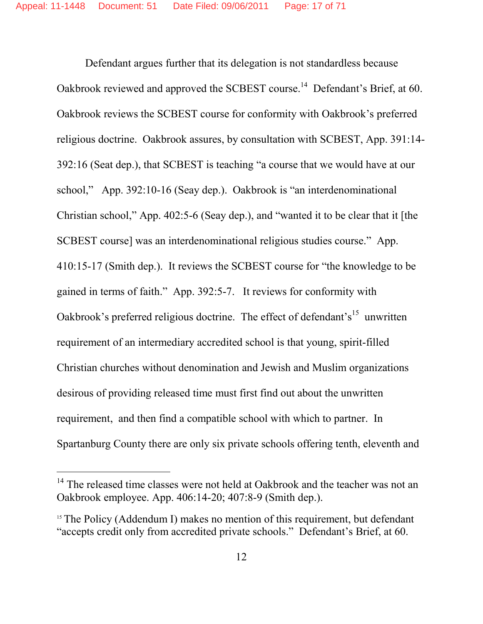Defendant argues further that its delegation is not standardless because Oakbrook reviewed and approved the SCBEST course.<sup>14</sup> Defendant's Brief, at 60. Oakbrook reviews the SCBEST course for conformity with Oakbrook's preferred religious doctrine. Oakbrook assures, by consultation with SCBEST, App. 391:14- 392:16 (Seat dep.), that SCBEST is teaching "a course that we would have at our school," App. 392:10-16 (Seay dep.). Oakbrook is "an interdenominational Christian school," App. 402:5-6 (Seay dep.), and "wanted it to be clear that it [the SCBEST course] was an interdenominational religious studies course." App. 410:15-17 (Smith dep.). It reviews the SCBEST course for "the knowledge to be gained in terms of faith." App. 392:5-7. It reviews for conformity with Oakbrook's preferred religious doctrine. The effect of defendant's<sup>15</sup> unwritten requirement of an intermediary accredited school is that young, spirit-filled Christian churches without denomination and Jewish and Muslim organizations desirous of providing released time must first find out about the unwritten requirement, and then find a compatible school with which to partner. In Spartanburg County there are only six private schools offering tenth, eleventh and

<sup>&</sup>lt;sup>14</sup> The released time classes were not held at Oakbrook and the teacher was not an Oakbrook employee. App. 406:14-20; 407:8-9 (Smith dep.).

<sup>&</sup>lt;sup>15</sup> The Policy (Addendum I) makes no mention of this requirement, but defendant "accepts credit only from accredited private schools." Defendant's Brief, at 60.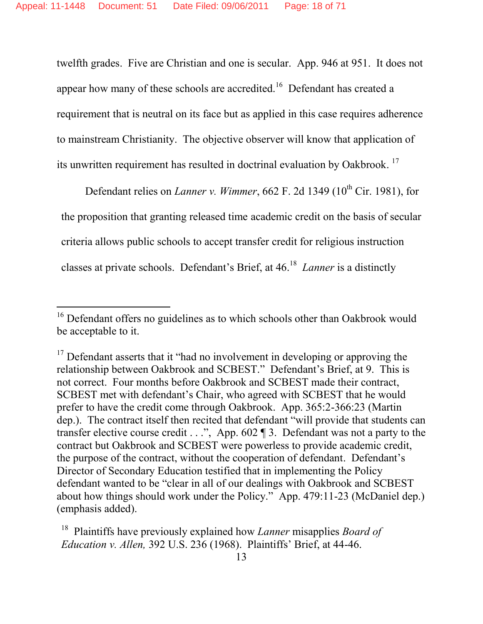twelfth grades. Five are Christian and one is secular. App. 946 at 951. It does not appear how many of these schools are accredited.<sup>16</sup> Defendant has created a requirement that is neutral on its face but as applied in this case requires adherence to mainstream Christianity. The objective observer will know that application of its unwritten requirement has resulted in doctrinal evaluation by Oakbrook. 17

Defendant relies on *Lanner v. Wimmer*,  $662$  F. 2d 1349 ( $10^{th}$  Cir. 1981), for the proposition that granting released time academic credit on the basis of secular criteria allows public schools to accept transfer credit for religious instruction classes at private schools. Defendant's Brief, at 46.<sup>18</sup> *Lanner* is a distinctly

<sup>&</sup>lt;sup>16</sup> Defendant offers no guidelines as to which schools other than Oakbrook would be acceptable to it.

<sup>&</sup>lt;sup>17</sup> Defendant asserts that it "had no involvement in developing or approving the relationship between Oakbrook and SCBEST." Defendant's Brief, at 9. This is not correct. Four months before Oakbrook and SCBEST made their contract, SCBEST met with defendant's Chair, who agreed with SCBEST that he would prefer to have the credit come through Oakbrook. App. 365:2-366:23 (Martin dep.). The contract itself then recited that defendant "will provide that students can transfer elective course credit . . .", App. 602 ¶ 3. Defendant was not a party to the contract but Oakbrook and SCBEST were powerless to provide academic credit, the purpose of the contract, without the cooperation of defendant. Defendant's Director of Secondary Education testified that in implementing the Policy defendant wanted to be "clear in all of our dealings with Oakbrook and SCBEST about how things should work under the Policy." App. 479:11-23 (McDaniel dep.) (emphasis added).

<sup>18</sup> Plaintiffs have previously explained how *Lanner* misapplies *Board of Education v. Allen,* 392 U.S. 236 (1968). Plaintiffs' Brief, at 44-46.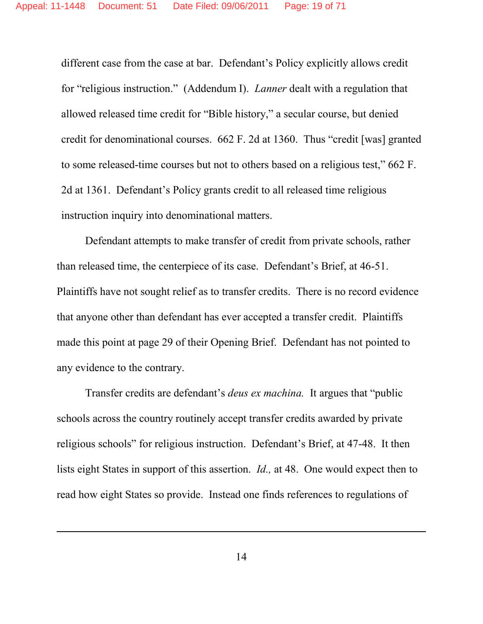different case from the case at bar. Defendant's Policy explicitly allows credit for "religious instruction." (Addendum I). *Lanner* dealt with a regulation that allowed released time credit for "Bible history," a secular course, but denied credit for denominational courses. 662 F. 2d at 1360. Thus "credit [was] granted to some released-time courses but not to others based on a religious test," 662 F. 2d at 1361. Defendant's Policy grants credit to all released time religious instruction inquiry into denominational matters.

Defendant attempts to make transfer of credit from private schools, rather than released time, the centerpiece of its case. Defendant's Brief, at 46-51. Plaintiffs have not sought relief as to transfer credits. There is no record evidence that anyone other than defendant has ever accepted a transfer credit. Plaintiffs made this point at page 29 of their Opening Brief. Defendant has not pointed to any evidence to the contrary.

Transfer credits are defendant's *deus ex machina.* It argues that "public schools across the country routinely accept transfer credits awarded by private religious schools" for religious instruction. Defendant's Brief, at 47-48. It then lists eight States in support of this assertion. *Id.,* at 48. One would expect then to read how eight States so provide. Instead one finds references to regulations of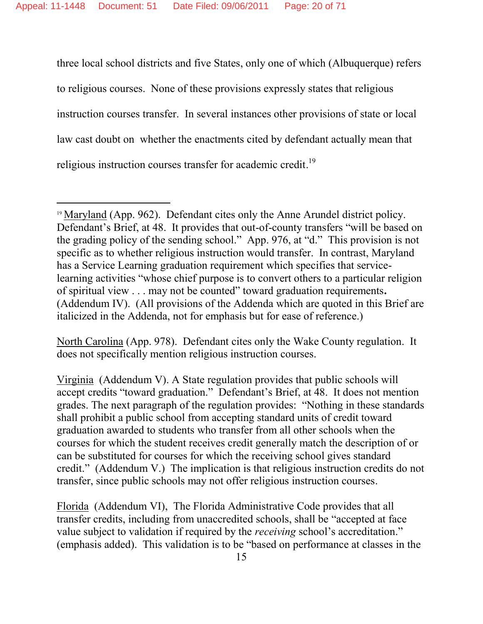three local school districts and five States, only one of which (Albuquerque) refers to religious courses. None of these provisions expressly states that religious instruction courses transfer. In several instances other provisions of state or local law cast doubt on whether the enactments cited by defendant actually mean that religious instruction courses transfer for academic credit.<sup>19</sup>

North Carolina (App. 978). Defendant cites only the Wake County regulation. It does not specifically mention religious instruction courses.

Virginia (Addendum V). A State regulation provides that public schools will accept credits "toward graduation." Defendant's Brief, at 48. It does not mention grades. The next paragraph of the regulation provides: "Nothing in these standards shall prohibit a public school from accepting standard units of credit toward graduation awarded to students who transfer from all other schools when the courses for which the student receives credit generally match the description of or can be substituted for courses for which the receiving school gives standard credit." (Addendum V.) The implication is that religious instruction credits do not transfer, since public schools may not offer religious instruction courses.

Florida (Addendum VI), The Florida Administrative Code provides that all transfer credits, including from unaccredited schools, shall be "accepted at face value subject to validation if required by the *receiving* school's accreditation." (emphasis added). This validation is to be "based on performance at classes in the

<sup>19</sup> Maryland (App. 962). Defendant cites only the Anne Arundel district policy. Defendant's Brief, at 48. It provides that out-of-county transfers "will be based on the grading policy of the sending school." App. 976, at "d." This provision is not specific as to whether religious instruction would transfer. In contrast, Maryland has a Service Learning graduation requirement which specifies that servicelearning activities "whose chief purpose is to convert others to a particular religion of spiritual view . . . may not be counted" toward graduation requirements**.** (Addendum IV). (All provisions of the Addenda which are quoted in this Brief are italicized in the Addenda, not for emphasis but for ease of reference.)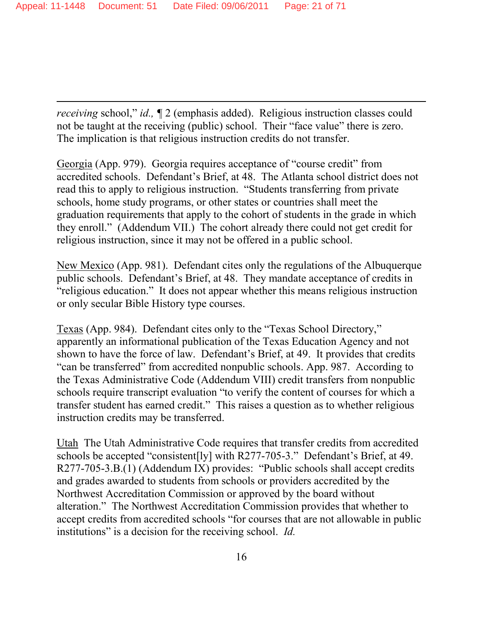*receiving* school," *id.*,  $\P$  2 (emphasis added). Religious instruction classes could not be taught at the receiving (public) school. Their "face value" there is zero. The implication is that religious instruction credits do not transfer.

Georgia (App. 979). Georgia requires acceptance of "course credit" from accredited schools. Defendant's Brief, at 48. The Atlanta school district does not read this to apply to religious instruction. "Students transferring from private schools, home study programs, or other states or countries shall meet the graduation requirements that apply to the cohort of students in the grade in which they enroll." (Addendum VII.) The cohort already there could not get credit for religious instruction, since it may not be offered in a public school.

New Mexico (App. 981). Defendant cites only the regulations of the Albuquerque public schools. Defendant's Brief, at 48. They mandate acceptance of credits in "religious education." It does not appear whether this means religious instruction or only secular Bible History type courses.

Texas (App. 984). Defendant cites only to the "Texas School Directory," apparently an informational publication of the Texas Education Agency and not shown to have the force of law. Defendant's Brief, at 49. It provides that credits "can be transferred" from accredited nonpublic schools. App. 987. According to the Texas Administrative Code (Addendum VIII) credit transfers from nonpublic schools require transcript evaluation "to verify the content of courses for which a transfer student has earned credit." This raises a question as to whether religious instruction credits may be transferred.

Utah The Utah Administrative Code requires that transfer credits from accredited schools be accepted "consistent[ly] with R277-705-3." Defendant's Brief, at 49. R277-705-3.B.(1) (Addendum IX) provides: "Public schools shall accept credits and grades awarded to students from schools or providers accredited by the Northwest Accreditation Commission or approved by the board without alteration." The Northwest Accreditation Commission provides that whether to accept credits from accredited schools "for courses that are not allowable in public institutions" is a decision for the receiving school. *Id.*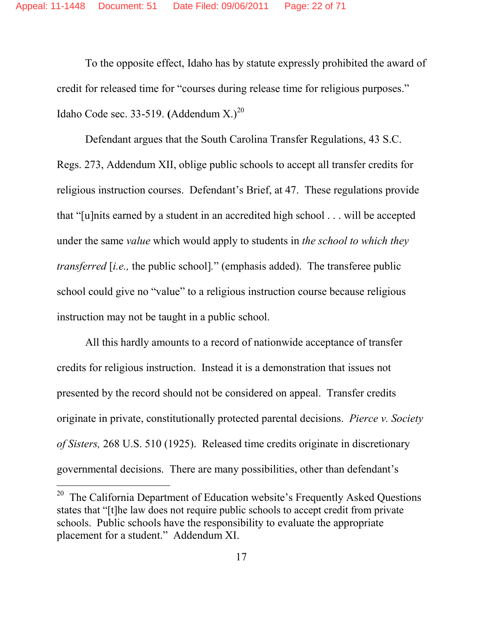To the opposite effect, Idaho has by statute expressly prohibited the award of credit for released time for "courses during release time for religious purposes." Idaho Code sec. 33-519. **(**Addendum X.) 20

Defendant argues that the South Carolina Transfer Regulations, 43 S.C. Regs. 273, Addendum XII, oblige public schools to accept all transfer credits for religious instruction courses. Defendant's Brief, at 47. These regulations provide that "[u]nits earned by a student in an accredited high school . . . will be accepted under the same *value* which would apply to students in *the school to which they transferred* [*i.e.,* the public school]*.*" (emphasis added). The transferee public school could give no "value" to a religious instruction course because religious instruction may not be taught in a public school.

All this hardly amounts to a record of nationwide acceptance of transfer credits for religious instruction. Instead it is a demonstration that issues not presented by the record should not be considered on appeal. Transfer credits originate in private, constitutionally protected parental decisions. *Pierce v. Society of Sisters,* 268 U.S. 510 (1925). Released time credits originate in discretionary governmental decisions. There are many possibilities, other than defendant's

<sup>&</sup>lt;sup>20</sup> The California Department of Education website's Frequently Asked Questions states that "[t]he law does not require public schools to accept credit from private schools. Public schools have the responsibility to evaluate the appropriate placement for a student." Addendum XI.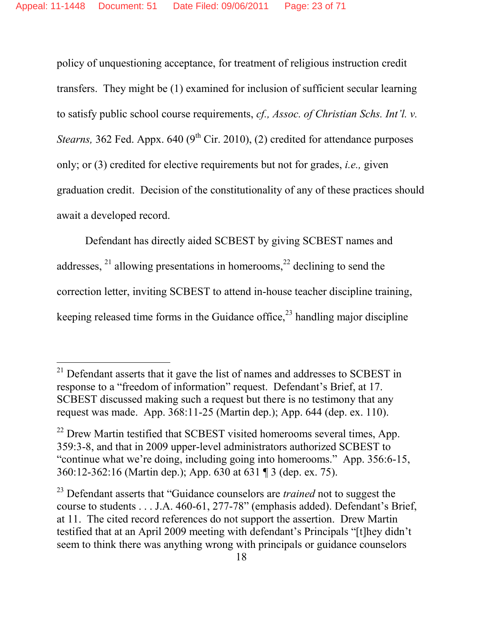policy of unquestioning acceptance, for treatment of religious instruction credit transfers. They might be (1) examined for inclusion of sufficient secular learning to satisfy public school course requirements, *cf., Assoc. of Christian Schs. Int'l. v. Stearns*, 362 Fed. Appx. 640 (9<sup>th</sup> Cir. 2010), (2) credited for attendance purposes only; or (3) credited for elective requirements but not for grades, *i.e.,* given graduation credit. Decision of the constitutionality of any of these practices should await a developed record.

Defendant has directly aided SCBEST by giving SCBEST names and addresses,  $^{21}$  allowing presentations in homerooms,  $^{22}$  declining to send the correction letter, inviting SCBEST to attend in-house teacher discipline training, keeping released time forms in the Guidance office,  $^{23}$  handling major discipline

 $21$  Defendant asserts that it gave the list of names and addresses to SCBEST in response to a "freedom of information" request. Defendant's Brief, at 17. SCBEST discussed making such a request but there is no testimony that any request was made. App. 368:11-25 (Martin dep.); App. 644 (dep. ex. 110).

<sup>&</sup>lt;sup>22</sup> Drew Martin testified that SCBEST visited homerooms several times, App. 359:3-8, and that in 2009 upper-level administrators authorized SCBEST to "continue what we're doing, including going into homerooms." App. 356:6-15, 360:12-362:16 (Martin dep.); App. 630 at 631 ¶ 3 (dep. ex. 75).

<sup>23</sup> Defendant asserts that "Guidance counselors are *trained* not to suggest the course to students . . . J.A. 460-61, 277-78" (emphasis added). Defendant's Brief, at 11. The cited record references do not support the assertion. Drew Martin testified that at an April 2009 meeting with defendant's Principals "[t]hey didn't seem to think there was anything wrong with principals or guidance counselors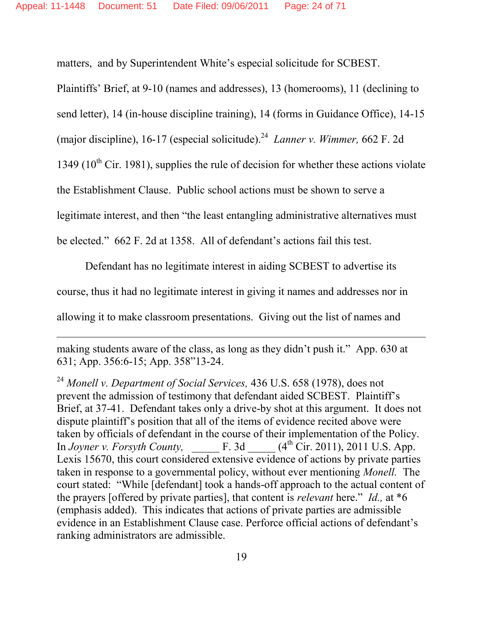matters, and by Superintendent White's especial solicitude for SCBEST.

Plaintiffs' Brief, at 9-10 (names and addresses), 13 (homerooms), 11 (declining to

send letter), 14 (in-house discipline training), 14 (forms in Guidance Office), 14-15

(major discipline), 16-17 (especial solicitude).<sup>24</sup> *Lanner v. Wimmer,* 662 F. 2d

1349 ( $10^{th}$  Cir. 1981), supplies the rule of decision for whether these actions violate

the Establishment Clause. Public school actions must be shown to serve a

legitimate interest, and then "the least entangling administrative alternatives must

be elected." 662 F. 2d at 1358. All of defendant's actions fail this test.

Defendant has no legitimate interest in aiding SCBEST to advertise its course, thus it had no legitimate interest in giving it names and addresses nor in allowing it to make classroom presentations. Giving out the list of names and

making students aware of the class, as long as they didn't push it." App. 630 at 631; App. 356:6-15; App. 358"13-24.

<sup>24</sup> *Monell v. Department of Social Services,* 436 U.S. 658 (1978), does not prevent the admission of testimony that defendant aided SCBEST. Plaintiff's Brief, at 37-41. Defendant takes only a drive-by shot at this argument. It does not dispute plaintiff's position that all of the items of evidence recited above were taken by officials of defendant in the course of their implementation of the Policy. In *Joyner v. Forsyth County*, F. 3d  $(4<sup>th</sup> Cir. 2011)$ , 2011 U.S. App. Lexis 15670, this court considered extensive evidence of actions by private parties taken in response to a governmental policy, without ever mentioning *Monell.* The court stated: "While [defendant] took a hands-off approach to the actual content of the prayers [offered by private parties], that content is *relevant* here." *Id.,* at \*6 (emphasis added). This indicates that actions of private parties are admissible evidence in an Establishment Clause case. Perforce official actions of defendant's ranking administrators are admissible.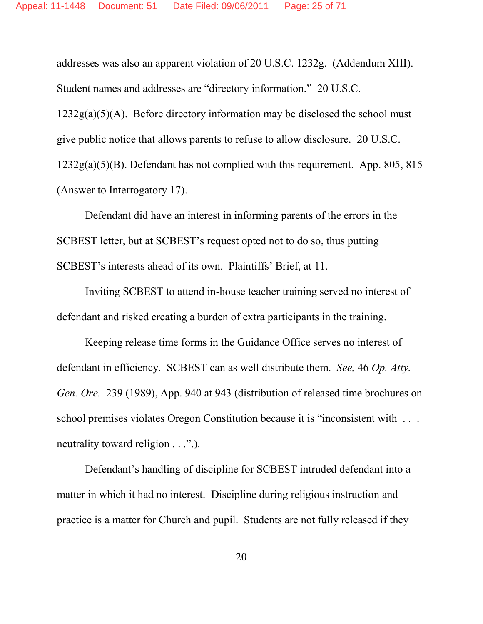addresses was also an apparent violation of 20 U.S.C. 1232g. (Addendum XIII). Student names and addresses are "directory information." 20 U.S.C.  $1232g(a)(5)(A)$ . Before directory information may be disclosed the school must give public notice that allows parents to refuse to allow disclosure. 20 U.S.C. 1232g(a)(5)(B). Defendant has not complied with this requirement. App. 805, 815 (Answer to Interrogatory 17).

Defendant did have an interest in informing parents of the errors in the SCBEST letter, but at SCBEST's request opted not to do so, thus putting SCBEST's interests ahead of its own. Plaintiffs' Brief, at 11.

Inviting SCBEST to attend in-house teacher training served no interest of defendant and risked creating a burden of extra participants in the training.

Keeping release time forms in the Guidance Office serves no interest of defendant in efficiency. SCBEST can as well distribute them. *See,* 46 *Op. Atty. Gen. Ore.* 239 (1989), App. 940 at 943 (distribution of released time brochures on school premises violates Oregon Constitution because it is "inconsistent with . . . neutrality toward religion . . .".).

Defendant's handling of discipline for SCBEST intruded defendant into a matter in which it had no interest. Discipline during religious instruction and practice is a matter for Church and pupil. Students are not fully released if they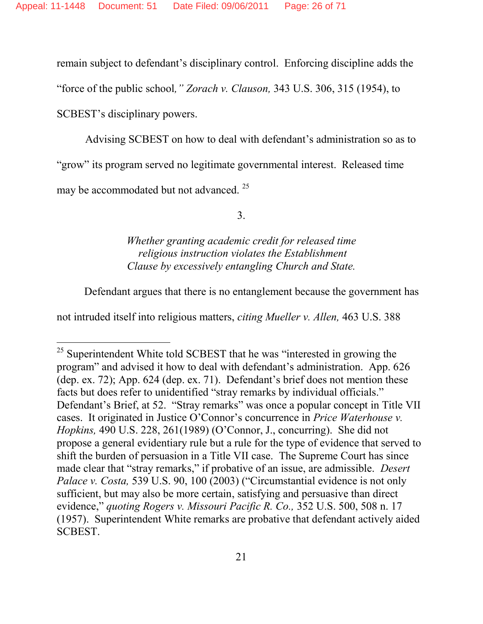remain subject to defendant's disciplinary control. Enforcing discipline adds the

"force of the public school*," Zorach v. Clauson,* 343 U.S. 306, 315 (1954), to

SCBEST's disciplinary powers.

Advising SCBEST on how to deal with defendant's administration so as to "grow" its program served no legitimate governmental interest. Released time may be accommodated but not advanced.<sup>25</sup>

3.

*Whether granting academic credit for released time religious instruction violates the Establishment Clause by excessively entangling Church and State.*

Defendant argues that there is no entanglement because the government has

not intruded itself into religious matters, *citing Mueller v. Allen,* 463 U.S. 388

<sup>&</sup>lt;sup>25</sup> Superintendent White told SCBEST that he was "interested in growing the program" and advised it how to deal with defendant's administration. App. 626 (dep. ex. 72); App. 624 (dep. ex. 71). Defendant's brief does not mention these facts but does refer to unidentified "stray remarks by individual officials." Defendant's Brief, at 52. "Stray remarks" was once a popular concept in Title VII cases. It originated in Justice O'Connor's concurrence in *Price Waterhouse v. Hopkins,* 490 U.S. 228, 261(1989) (O'Connor, J., concurring). She did not propose a general evidentiary rule but a rule for the type of evidence that served to shift the burden of persuasion in a Title VII case. The Supreme Court has since made clear that "stray remarks," if probative of an issue, are admissible. *Desert Palace v. Costa,* 539 U.S. 90, 100 (2003) ("Circumstantial evidence is not only sufficient, but may also be more certain, satisfying and persuasive than direct evidence," *quoting Rogers v. Missouri Pacific R. Co.,* 352 U.S. 500, 508 n. 17 (1957). Superintendent White remarks are probative that defendant actively aided SCBEST.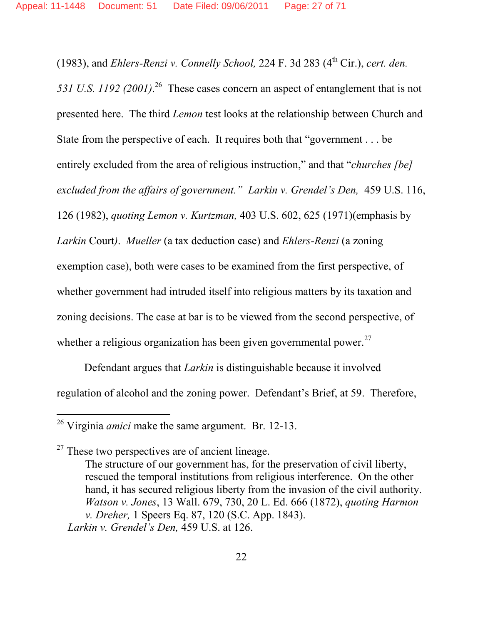(1983), and *Ehlers-Renzi v. Connelly School*, 224 F. 3d 283  $(4<sup>th</sup> Cir.)$ , *cert. den.* 

*531 U.S. 1192 (2001)*. <sup>26</sup> These cases concern an aspect of entanglement that is not presented here. The third *Lemon* test looks at the relationship between Church and State from the perspective of each. It requires both that "government . . . be entirely excluded from the area of religious instruction," and that "*churches [be] excluded from the affairs of government." Larkin v. Grendel's Den,* 459 U.S. 116, 126 (1982), *quoting Lemon v. Kurtzman,* 403 U.S. 602, 625 (1971)(emphasis by *Larkin* Court*)*. *Mueller* (a tax deduction case) and *Ehlers-Renzi* (a zoning exemption case), both were cases to be examined from the first perspective, of whether government had intruded itself into religious matters by its taxation and zoning decisions. The case at bar is to be viewed from the second perspective, of whether a religious organization has been given governmental power. $27$ 

Defendant argues that *Larkin* is distinguishable because it involved regulation of alcohol and the zoning power. Defendant's Brief, at 59. Therefore,

<sup>26</sup> Virginia *amici* make the same argument. Br. 12-13.

 $27$  These two perspectives are of ancient lineage.

The structure of our government has, for the preservation of civil liberty, rescued the temporal institutions from religious interference. On the other hand, it has secured religious liberty from the invasion of the civil authority. *Watson v. Jones*, 13 Wall. 679, 730, 20 L. Ed. 666 (1872), *quoting Harmon v. Dreher,* 1 Speers Eq. 87, 120 (S.C. App. 1843). *Larkin v. Grendel's Den,* 459 U.S. at 126.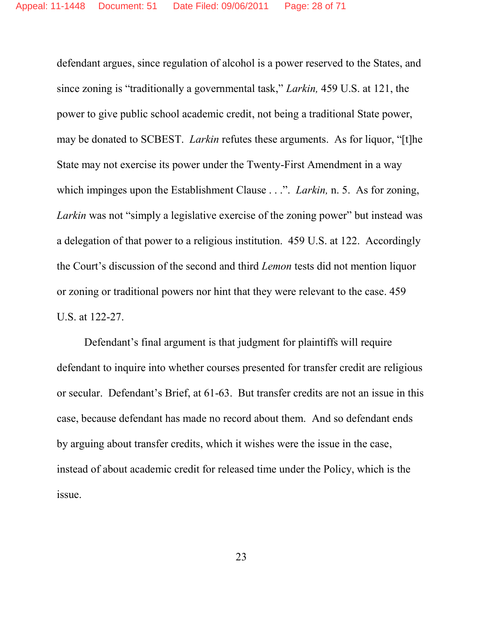defendant argues, since regulation of alcohol is a power reserved to the States, and since zoning is "traditionally a governmental task," *Larkin,* 459 U.S. at 121, the power to give public school academic credit, not being a traditional State power, may be donated to SCBEST. *Larkin* refutes these arguments. As for liquor, "[t]he State may not exercise its power under the Twenty-First Amendment in a way which impinges upon the Establishment Clause . . .". *Larkin*, n. 5. As for zoning, *Larkin* was not "simply a legislative exercise of the zoning power" but instead was a delegation of that power to a religious institution. 459 U.S. at 122. Accordingly the Court's discussion of the second and third *Lemon* tests did not mention liquor or zoning or traditional powers nor hint that they were relevant to the case. 459 U.S. at 122-27.

Defendant's final argument is that judgment for plaintiffs will require defendant to inquire into whether courses presented for transfer credit are religious or secular. Defendant's Brief, at 61-63. But transfer credits are not an issue in this case, because defendant has made no record about them. And so defendant ends by arguing about transfer credits, which it wishes were the issue in the case, instead of about academic credit for released time under the Policy, which is the issue.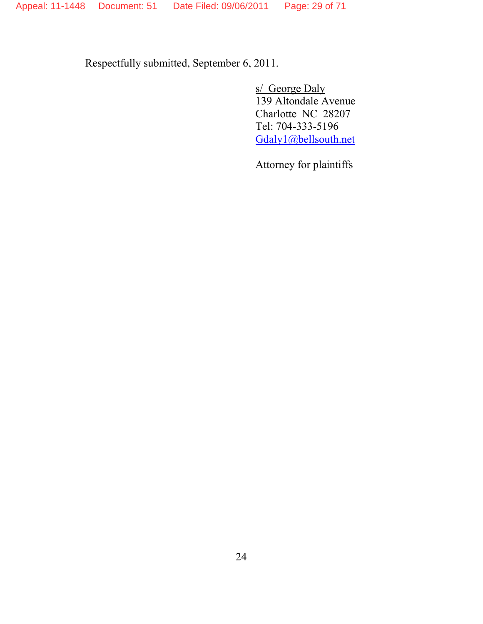Respectfully submitted, September 6, 2011.

s/ George Daly 139 Altondale Avenue Charlotte NC 28207 Tel: 704-333-5196 Gdaly1@bellsouth.net

Attorney for plaintiffs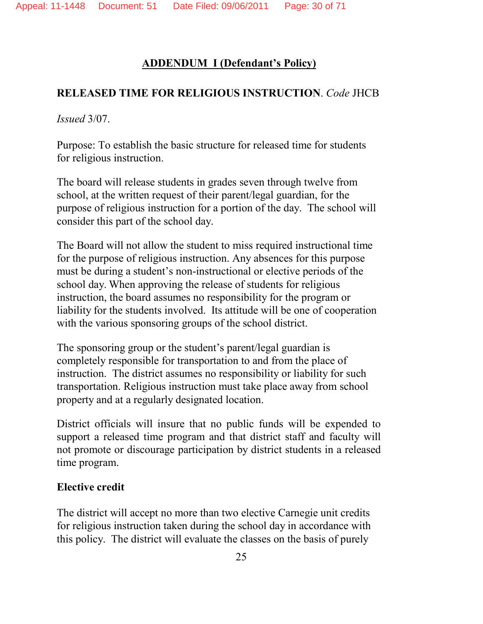# **ADDENDUM I (Defendant's Policy)**

## **RELEASED TIME FOR RELIGIOUS INSTRUCTION**. *Code* JHCB

*Issued* 3/07.

Purpose: To establish the basic structure for released time for students for religious instruction.

The board will release students in grades seven through twelve from school, at the written request of their parent/legal guardian, for the purpose of religious instruction for a portion of the day. The school will consider this part of the school day.

The Board will not allow the student to miss required instructional time for the purpose of religious instruction. Any absences for this purpose must be during a student's non-instructional or elective periods of the school day. When approving the release of students for religious instruction, the board assumes no responsibility for the program or liability for the students involved. Its attitude will be one of cooperation with the various sponsoring groups of the school district.

The sponsoring group or the student's parent/legal guardian is completely responsible for transportation to and from the place of instruction. The district assumes no responsibility or liability for such transportation. Religious instruction must take place away from school property and at a regularly designated location.

District officials will insure that no public funds will be expended to support a released time program and that district staff and faculty will not promote or discourage participation by district students in a released time program.

## **Elective credit**

The district will accept no more than two elective Carnegie unit credits for religious instruction taken during the school day in accordance with this policy. The district will evaluate the classes on the basis of purely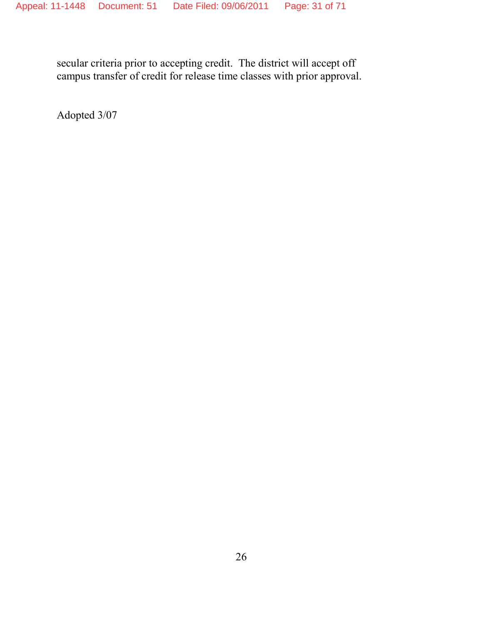secular criteria prior to accepting credit. The district will accept off campus transfer of credit for release time classes with prior approval.

Adopted 3/07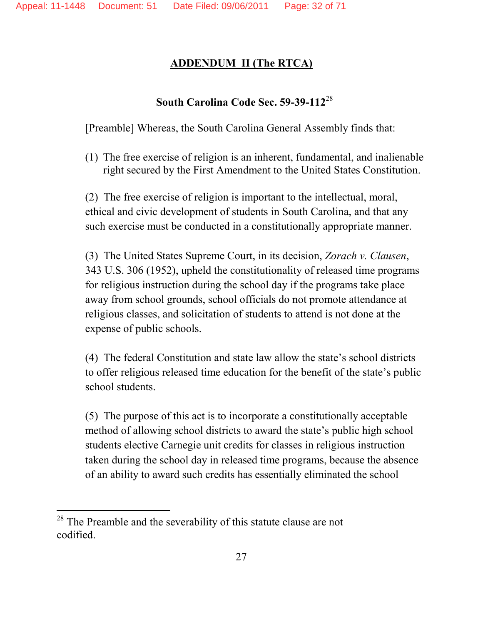# **ADDENDUM II (The RTCA)**

# **South Carolina Code Sec. 59-39-112**<sup>28</sup>

[Preamble] Whereas, the South Carolina General Assembly finds that:

(1) The free exercise of religion is an inherent, fundamental, and inalienable right secured by the First Amendment to the United States Constitution.

(2) The free exercise of religion is important to the intellectual, moral, ethical and civic development of students in South Carolina, and that any such exercise must be conducted in a constitutionally appropriate manner.

(3) The United States Supreme Court, in its decision, *Zorach v. Clausen*, 343 U.S. 306 (1952), upheld the constitutionality of released time programs for religious instruction during the school day if the programs take place away from school grounds, school officials do not promote attendance at religious classes, and solicitation of students to attend is not done at the expense of public schools.

(4) The federal Constitution and state law allow the state's school districts to offer religious released time education for the benefit of the state's public school students.

(5) The purpose of this act is to incorporate a constitutionally acceptable method of allowing school districts to award the state's public high school students elective Carnegie unit credits for classes in religious instruction taken during the school day in released time programs, because the absence of an ability to award such credits has essentially eliminated the school

<sup>&</sup>lt;sup>28</sup> The Preamble and the severability of this statute clause are not codified.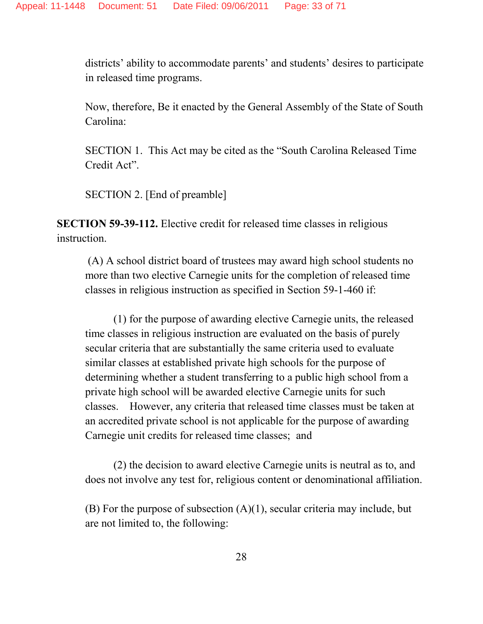districts' ability to accommodate parents' and students' desires to participate in released time programs.

Now, therefore, Be it enacted by the General Assembly of the State of South Carolina:

SECTION 1. This Act may be cited as the "South Carolina Released Time Credit Act".

SECTION 2. [End of preamble]

**SECTION 59-39-112.** Elective credit for released time classes in religious instruction.

(A) A school district board of trustees may award high school students no more than two elective Carnegie units for the completion of released time classes in religious instruction as specified in Section 59-1-460 if:

(1) for the purpose of awarding elective Carnegie units, the released time classes in religious instruction are evaluated on the basis of purely secular criteria that are substantially the same criteria used to evaluate similar classes at established private high schools for the purpose of determining whether a student transferring to a public high school from a private high school will be awarded elective Carnegie units for such classes. However, any criteria that released time classes must be taken at an accredited private school is not applicable for the purpose of awarding Carnegie unit credits for released time classes; and

(2) the decision to award elective Carnegie units is neutral as to, and does not involve any test for, religious content or denominational affiliation.

(B) For the purpose of subsection (A)(1), secular criteria may include, but are not limited to, the following: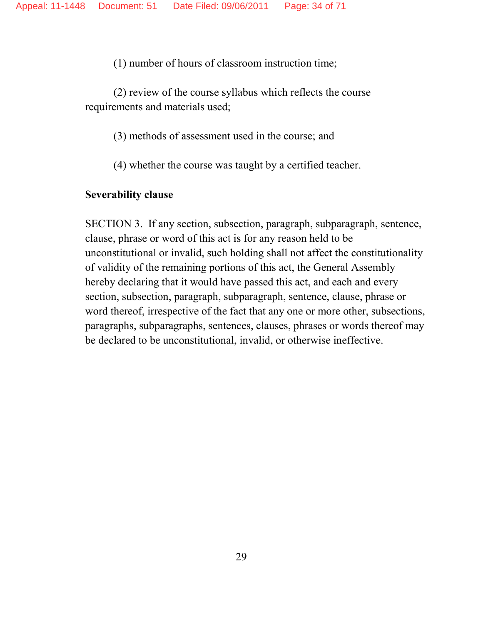(1) number of hours of classroom instruction time;

(2) review of the course syllabus which reflects the course requirements and materials used;

(3) methods of assessment used in the course; and

(4) whether the course was taught by a certified teacher.

#### **Severability clause**

SECTION 3. If any section, subsection, paragraph, subparagraph, sentence, clause, phrase or word of this act is for any reason held to be unconstitutional or invalid, such holding shall not affect the constitutionality of validity of the remaining portions of this act, the General Assembly hereby declaring that it would have passed this act, and each and every section, subsection, paragraph, subparagraph, sentence, clause, phrase or word thereof, irrespective of the fact that any one or more other, subsections, paragraphs, subparagraphs, sentences, clauses, phrases or words thereof may be declared to be unconstitutional, invalid, or otherwise ineffective.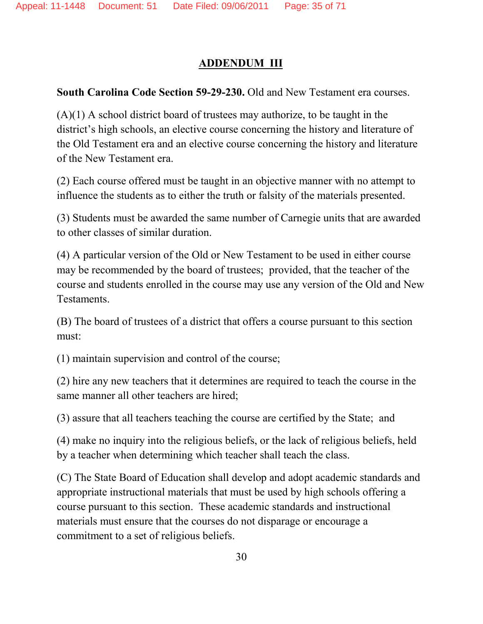# **ADDENDUM III**

**South Carolina Code Section 59-29-230.** Old and New Testament era courses.

 $(A)(1)$  A school district board of trustees may authorize, to be taught in the district's high schools, an elective course concerning the history and literature of the Old Testament era and an elective course concerning the history and literature of the New Testament era.

(2) Each course offered must be taught in an objective manner with no attempt to influence the students as to either the truth or falsity of the materials presented.

(3) Students must be awarded the same number of Carnegie units that are awarded to other classes of similar duration.

(4) A particular version of the Old or New Testament to be used in either course may be recommended by the board of trustees; provided, that the teacher of the course and students enrolled in the course may use any version of the Old and New Testaments.

(B) The board of trustees of a district that offers a course pursuant to this section must:

(1) maintain supervision and control of the course;

(2) hire any new teachers that it determines are required to teach the course in the same manner all other teachers are hired;

(3) assure that all teachers teaching the course are certified by the State; and

(4) make no inquiry into the religious beliefs, or the lack of religious beliefs, held by a teacher when determining which teacher shall teach the class.

(C) The State Board of Education shall develop and adopt academic standards and appropriate instructional materials that must be used by high schools offering a course pursuant to this section. These academic standards and instructional materials must ensure that the courses do not disparage or encourage a commitment to a set of religious beliefs.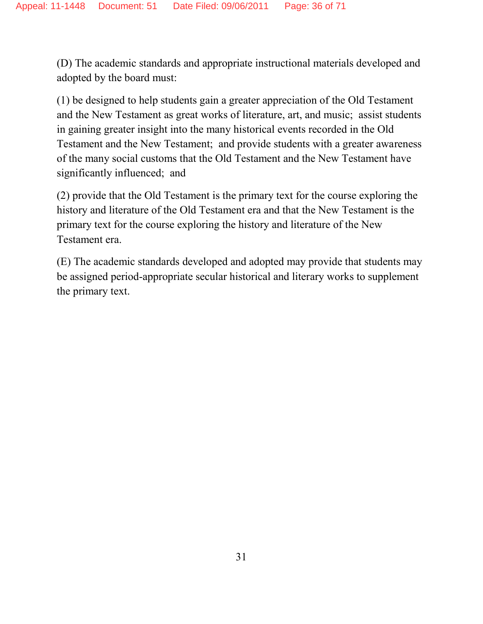(D) The academic standards and appropriate instructional materials developed and adopted by the board must:

(1) be designed to help students gain a greater appreciation of the Old Testament and the New Testament as great works of literature, art, and music; assist students in gaining greater insight into the many historical events recorded in the Old Testament and the New Testament; and provide students with a greater awareness of the many social customs that the Old Testament and the New Testament have significantly influenced; and

(2) provide that the Old Testament is the primary text for the course exploring the history and literature of the Old Testament era and that the New Testament is the primary text for the course exploring the history and literature of the New Testament era.

(E) The academic standards developed and adopted may provide that students may be assigned period-appropriate secular historical and literary works to supplement the primary text.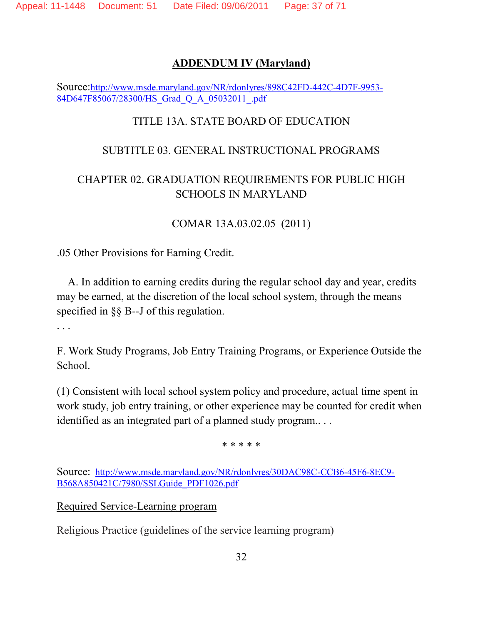## **ADDENDUM IV (Maryland)**

Source:http://www.msde.maryland.gov/NR/rdonlyres/898C42FD-442C-4D7F-9953- 84D647F85067/28300/HS\_Grad\_Q\_A\_05032011\_.pdf

## TITLE 13A. STATE BOARD OF EDUCATION

## SUBTITLE 03. GENERAL INSTRUCTIONAL PROGRAMS

# CHAPTER 02. GRADUATION REQUIREMENTS FOR PUBLIC HIGH SCHOOLS IN MARYLAND

COMAR 13A.03.02.05 (2011)

.05 Other Provisions for Earning Credit.

A. In addition to earning credits during the regular school day and year, credits may be earned, at the discretion of the local school system, through the means specified in §§ B--J of this regulation.

. . .

F. Work Study Programs, Job Entry Training Programs, or Experience Outside the School.

(1) Consistent with local school system policy and procedure, actual time spent in work study, job entry training, or other experience may be counted for credit when identified as an integrated part of a planned study program.. . .

\* \* \* \* \*

Source: http://www.msde.maryland.gov/NR/rdonlyres/30DAC98C-CCB6-45F6-8EC9- B568A850421C/7980/SSLGuide\_PDF1026.pdf

Required Service-Learning program

Religious Practice (guidelines of the service learning program)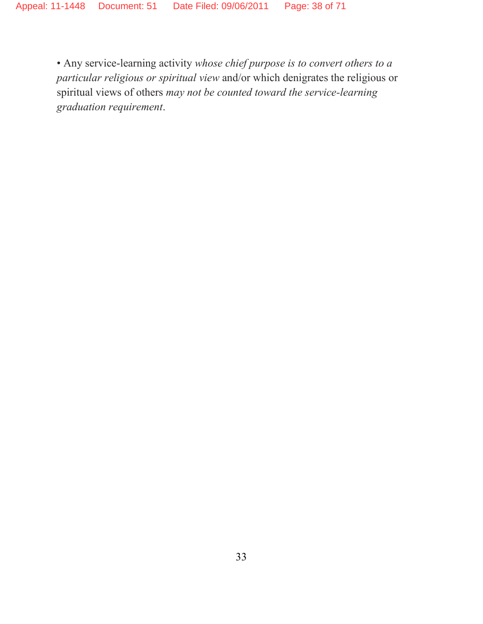• Any service-learning activity *whose chief purpose is to convert others to a particular religious or spiritual view* and/or which denigrates the religious or spiritual views of others *may not be counted toward the service-learning graduation requirement*.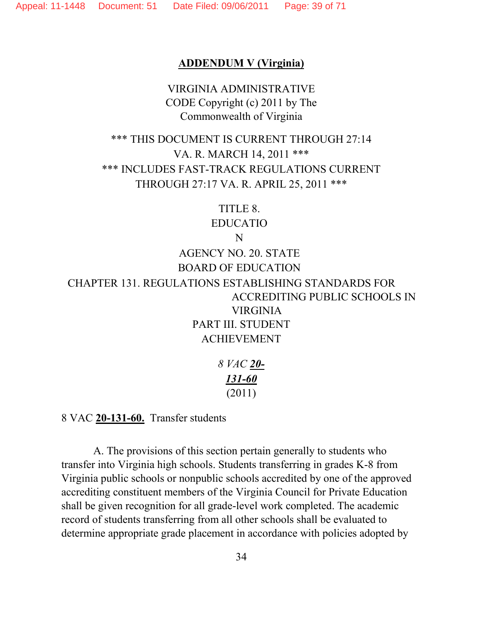#### **ADDENDUM V (Virginia)**

# VIRGINIA ADMINISTRATIVE CODE Copyright (c) 2011 by The Commonwealth of Virginia

\*\*\* THIS DOCUMENT IS CURRENT THROUGH 27:14 VA. R. MARCH 14, 2011 \*\*\* \*\*\* INCLUDES FAST-TRACK REGULATIONS CURRENT THROUGH 27:17 VA. R. APRIL 25, 2011 \*\*\*

#### TITLE 8.

#### EDUCATIO

N

AGENCY NO. 20. STATE BOARD OF EDUCATION CHAPTER 131. REGULATIONS ESTABLISHING STANDARDS FOR ACCREDITING PUBLIC SCHOOLS IN VIRGINIA PART III. STUDENT ACHIEVEMENT

> *8 VAC 20- 131-60* (2011)

8 VAC **20-131-60.** Transfer students

A. The provisions of this section pertain generally to students who transfer into Virginia high schools. Students transferring in grades K-8 from Virginia public schools or nonpublic schools accredited by one of the approved accrediting constituent members of the Virginia Council for Private Education shall be given recognition for all grade-level work completed. The academic record of students transferring from all other schools shall be evaluated to determine appropriate grade placement in accordance with policies adopted by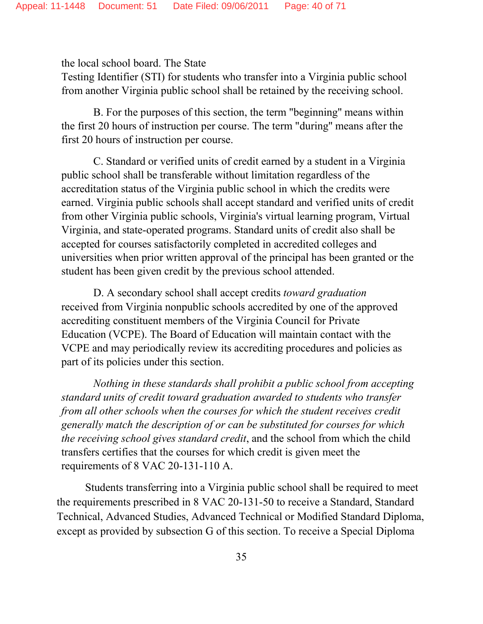the local school board. The State

Testing Identifier (STI) for students who transfer into a Virginia public school from another Virginia public school shall be retained by the receiving school.

B. For the purposes of this section, the term "beginning'' means within the first 20 hours of instruction per course. The term "during'' means after the first 20 hours of instruction per course.

C. Standard or verified units of credit earned by a student in a Virginia public school shall be transferable without limitation regardless of the accreditation status of the Virginia public school in which the credits were earned. Virginia public schools shall accept standard and verified units of credit from other Virginia public schools, Virginia's virtual learning program, Virtual Virginia, and state-operated programs. Standard units of credit also shall be accepted for courses satisfactorily completed in accredited colleges and universities when prior written approval of the principal has been granted or the student has been given credit by the previous school attended.

D. A secondary school shall accept credits *toward graduation* received from Virginia nonpublic schools accredited by one of the approved accrediting constituent members of the Virginia Council for Private Education (VCPE). The Board of Education will maintain contact with the VCPE and may periodically review its accrediting procedures and policies as part of its policies under this section.

*Nothing in these standards shall prohibit a public school from accepting standard units of credit toward graduation awarded to students who transfer from all other schools when the courses for which the student receives credit generally match the description of or can be substituted for courses for which the receiving school gives standard credit*, and the school from which the child transfers certifies that the courses for which credit is given meet the requirements of 8 VAC 20-131-110 A.

Students transferring into a Virginia public school shall be required to meet the requirements prescribed in 8 VAC 20-131-50 to receive a Standard, Standard Technical, Advanced Studies, Advanced Technical or Modified Standard Diploma, except as provided by subsection G of this section. To receive a Special Diploma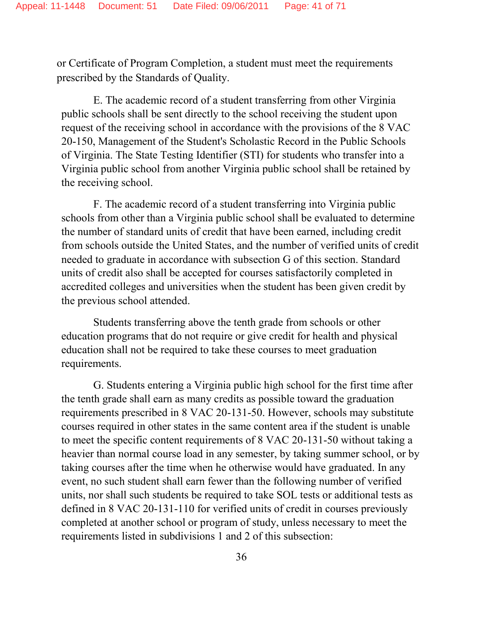or Certificate of Program Completion, a student must meet the requirements prescribed by the Standards of Quality.

E. The academic record of a student transferring from other Virginia public schools shall be sent directly to the school receiving the student upon request of the receiving school in accordance with the provisions of the 8 VAC 20-150, Management of the Student's Scholastic Record in the Public Schools of Virginia. The State Testing Identifier (STI) for students who transfer into a Virginia public school from another Virginia public school shall be retained by the receiving school.

F. The academic record of a student transferring into Virginia public schools from other than a Virginia public school shall be evaluated to determine the number of standard units of credit that have been earned, including credit from schools outside the United States, and the number of verified units of credit needed to graduate in accordance with subsection G of this section. Standard units of credit also shall be accepted for courses satisfactorily completed in accredited colleges and universities when the student has been given credit by the previous school attended.

Students transferring above the tenth grade from schools or other education programs that do not require or give credit for health and physical education shall not be required to take these courses to meet graduation requirements.

G. Students entering a Virginia public high school for the first time after the tenth grade shall earn as many credits as possible toward the graduation requirements prescribed in 8 VAC 20-131-50. However, schools may substitute courses required in other states in the same content area if the student is unable to meet the specific content requirements of 8 VAC 20-131-50 without taking a heavier than normal course load in any semester, by taking summer school, or by taking courses after the time when he otherwise would have graduated. In any event, no such student shall earn fewer than the following number of verified units, nor shall such students be required to take SOL tests or additional tests as defined in 8 VAC 20-131-110 for verified units of credit in courses previously completed at another school or program of study, unless necessary to meet the requirements listed in subdivisions 1 and 2 of this subsection: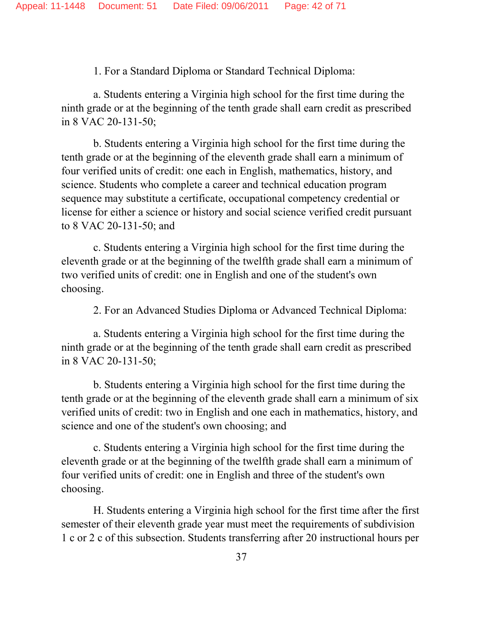1. For a Standard Diploma or Standard Technical Diploma:

a. Students entering a Virginia high school for the first time during the ninth grade or at the beginning of the tenth grade shall earn credit as prescribed in 8 VAC 20-131-50;

b. Students entering a Virginia high school for the first time during the tenth grade or at the beginning of the eleventh grade shall earn a minimum of four verified units of credit: one each in English, mathematics, history, and science. Students who complete a career and technical education program sequence may substitute a certificate, occupational competency credential or license for either a science or history and social science verified credit pursuant to 8 VAC 20-131-50; and

c. Students entering a Virginia high school for the first time during the eleventh grade or at the beginning of the twelfth grade shall earn a minimum of two verified units of credit: one in English and one of the student's own choosing.

2. For an Advanced Studies Diploma or Advanced Technical Diploma:

a. Students entering a Virginia high school for the first time during the ninth grade or at the beginning of the tenth grade shall earn credit as prescribed in 8 VAC 20-131-50;

b. Students entering a Virginia high school for the first time during the tenth grade or at the beginning of the eleventh grade shall earn a minimum of six verified units of credit: two in English and one each in mathematics, history, and science and one of the student's own choosing; and

c. Students entering a Virginia high school for the first time during the eleventh grade or at the beginning of the twelfth grade shall earn a minimum of four verified units of credit: one in English and three of the student's own choosing.

H. Students entering a Virginia high school for the first time after the first semester of their eleventh grade year must meet the requirements of subdivision 1 c or 2 c of this subsection. Students transferring after 20 instructional hours per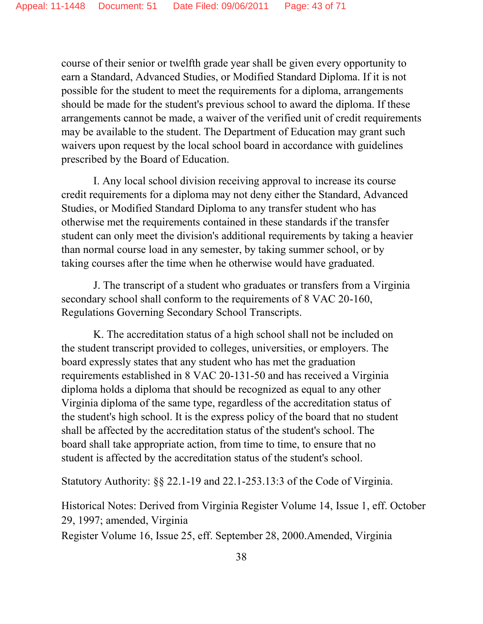course of their senior or twelfth grade year shall be given every opportunity to earn a Standard, Advanced Studies, or Modified Standard Diploma. If it is not possible for the student to meet the requirements for a diploma, arrangements should be made for the student's previous school to award the diploma. If these arrangements cannot be made, a waiver of the verified unit of credit requirements may be available to the student. The Department of Education may grant such waivers upon request by the local school board in accordance with guidelines prescribed by the Board of Education.

I. Any local school division receiving approval to increase its course credit requirements for a diploma may not deny either the Standard, Advanced Studies, or Modified Standard Diploma to any transfer student who has otherwise met the requirements contained in these standards if the transfer student can only meet the division's additional requirements by taking a heavier than normal course load in any semester, by taking summer school, or by taking courses after the time when he otherwise would have graduated.

J. The transcript of a student who graduates or transfers from a Virginia secondary school shall conform to the requirements of 8 VAC 20-160, Regulations Governing Secondary School Transcripts.

K. The accreditation status of a high school shall not be included on the student transcript provided to colleges, universities, or employers. The board expressly states that any student who has met the graduation requirements established in 8 VAC 20-131-50 and has received a Virginia diploma holds a diploma that should be recognized as equal to any other Virginia diploma of the same type, regardless of the accreditation status of the student's high school. It is the express policy of the board that no student shall be affected by the accreditation status of the student's school. The board shall take appropriate action, from time to time, to ensure that no student is affected by the accreditation status of the student's school.

Statutory Authority: §§ 22.1-19 and 22.1-253.13:3 of the Code of Virginia.

Historical Notes: Derived from Virginia Register Volume 14, Issue 1, eff. October 29, 1997; amended, Virginia

Register Volume 16, Issue 25, eff. September 28, 2000.Amended, Virginia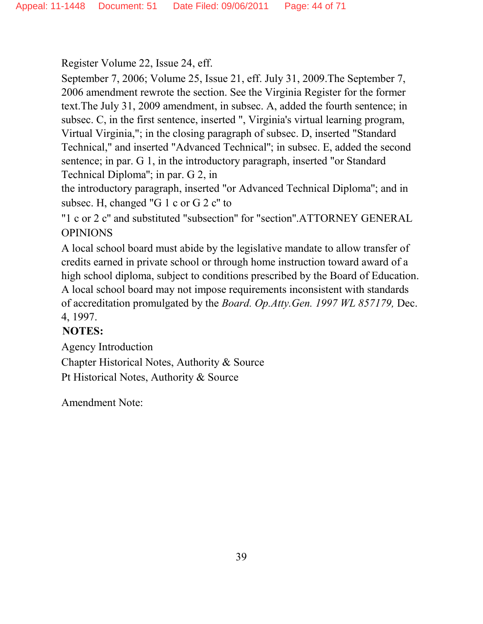Register Volume 22, Issue 24, eff.

September 7, 2006; Volume 25, Issue 21, eff. July 31, 2009.The September 7, 2006 amendment rewrote the section. See the Virginia Register for the former text.The July 31, 2009 amendment, in subsec. A, added the fourth sentence; in subsec. C, in the first sentence, inserted ", Virginia's virtual learning program, Virtual Virginia,"; in the closing paragraph of subsec. D, inserted "Standard Technical," and inserted "Advanced Technical''; in subsec. E, added the second sentence; in par. G 1, in the introductory paragraph, inserted "or Standard Technical Diploma''; in par. G 2, in

the introductory paragraph, inserted "or Advanced Technical Diploma''; and in subsec. H, changed "G 1 c or G 2 c'' to

"1 c or 2 c'' and substituted "subsection'' for "section''.ATTORNEY GENERAL OPINIONS

A local school board must abide by the legislative mandate to allow transfer of credits earned in private school or through home instruction toward award of a high school diploma, subject to conditions prescribed by the Board of Education. A local school board may not impose requirements inconsistent with standards of accreditation promulgated by the *Board. Op.Atty.Gen. 1997 WL 857179,* Dec. 4, 1997.

# **NOTES:**

Agency Introduction

Chapter Historical Notes, Authority & Source

Pt Historical Notes, Authority & Source

Amendment Note: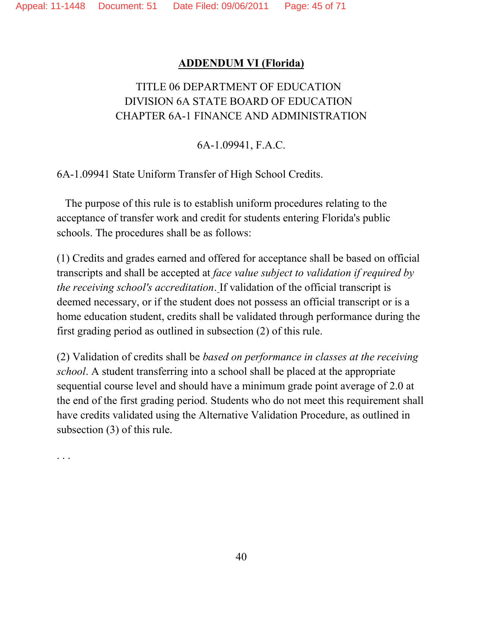## **ADDENDUM VI (Florida)**

# TITLE 06 DEPARTMENT OF EDUCATION DIVISION 6A STATE BOARD OF EDUCATION CHAPTER 6A-1 FINANCE AND ADMINISTRATION

6A-1.09941, F.A.C.

6A-1.09941 State Uniform Transfer of High School Credits.

The purpose of this rule is to establish uniform procedures relating to the acceptance of transfer work and credit for students entering Florida's public schools. The procedures shall be as follows:

(1) Credits and grades earned and offered for acceptance shall be based on official transcripts and shall be accepted at *face value subject to validation if required by the receiving school's accreditation*. If validation of the official transcript is deemed necessary, or if the student does not possess an official transcript or is a home education student, credits shall be validated through performance during the first grading period as outlined in subsection (2) of this rule.

(2) Validation of credits shall be *based on performance in classes at the receiving school*. A student transferring into a school shall be placed at the appropriate sequential course level and should have a minimum grade point average of 2.0 at the end of the first grading period. Students who do not meet this requirement shall have credits validated using the Alternative Validation Procedure, as outlined in subsection (3) of this rule.

. . .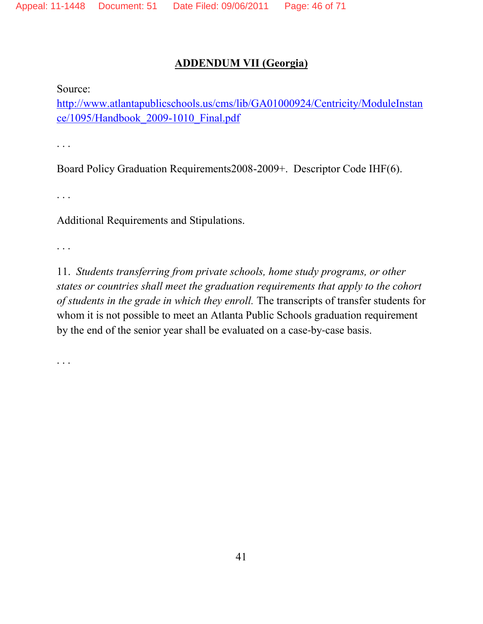# **ADDENDUM VII (Georgia)**

Source:

http://www.atlantapublicschools.us/cms/lib/GA01000924/Centricity/ModuleInstan ce/1095/Handbook\_2009-1010\_Final.pdf

. . .

Board Policy Graduation Requirements2008-2009+. Descriptor Code IHF(6).

. . .

Additional Requirements and Stipulations.

. . .

11. *Students transferring from private schools, home study programs, or other states or countries shall meet the graduation requirements that apply to the cohort of students in the grade in which they enroll.* The transcripts of transfer students for whom it is not possible to meet an Atlanta Public Schools graduation requirement by the end of the senior year shall be evaluated on a case‐by‐case basis.

. . .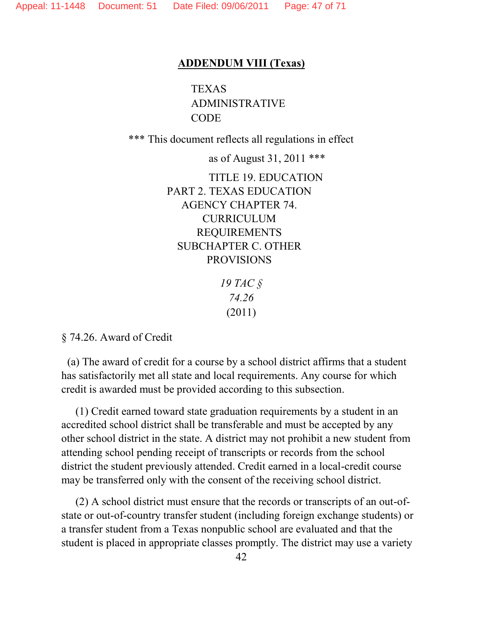#### **ADDENDUM VIII (Texas)**

TEXAS ADMINISTRATIVE CODE

\*\*\* This document reflects all regulations in effect

as of August 31, 2011 \*\*\*

TITLE 19. EDUCATION PART 2. TEXAS EDUCATION AGENCY CHAPTER 74. CURRICULUM REQUIREMENTS SUBCHAPTER C. OTHER PROVISIONS

> *19 TAC § 74.26* (2011)

§ 74.26. Award of Credit

(a) The award of credit for a course by a school district affirms that a student has satisfactorily met all state and local requirements. Any course for which credit is awarded must be provided according to this subsection.

(1) Credit earned toward state graduation requirements by a student in an accredited school district shall be transferable and must be accepted by any other school district in the state. A district may not prohibit a new student from attending school pending receipt of transcripts or records from the school district the student previously attended. Credit earned in a local-credit course may be transferred only with the consent of the receiving school district.

(2) A school district must ensure that the records or transcripts of an out-ofstate or out-of-country transfer student (including foreign exchange students) or a transfer student from a Texas nonpublic school are evaluated and that the student is placed in appropriate classes promptly. The district may use a variety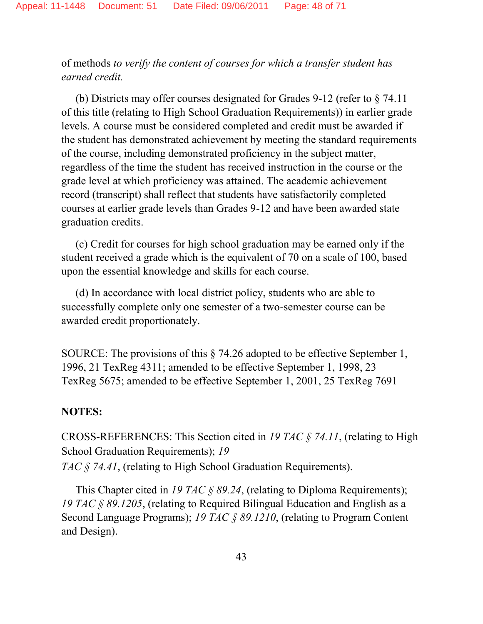of methods *to verify the content of courses for which a transfer student has earned credit.*

(b) Districts may offer courses designated for Grades 9-12 (refer to § 74.11 of this title (relating to High School Graduation Requirements)) in earlier grade levels. A course must be considered completed and credit must be awarded if the student has demonstrated achievement by meeting the standard requirements of the course, including demonstrated proficiency in the subject matter, regardless of the time the student has received instruction in the course or the grade level at which proficiency was attained. The academic achievement record (transcript) shall reflect that students have satisfactorily completed courses at earlier grade levels than Grades 9-12 and have been awarded state graduation credits.

(c) Credit for courses for high school graduation may be earned only if the student received a grade which is the equivalent of 70 on a scale of 100, based upon the essential knowledge and skills for each course.

(d) In accordance with local district policy, students who are able to successfully complete only one semester of a two-semester course can be awarded credit proportionately.

SOURCE: The provisions of this § 74.26 adopted to be effective September 1, 1996, 21 TexReg 4311; amended to be effective September 1, 1998, 23 TexReg 5675; amended to be effective September 1, 2001, 25 TexReg 7691

## **NOTES:**

CROSS-REFERENCES: This Section cited in *19 TAC § 74.11*, (relating to High School Graduation Requirements); *19 TAC* § 74.41, (relating to High School Graduation Requirements).

This Chapter cited in *19 TAC § 89.24*, (relating to Diploma Requirements); *19 TAC § 89.1205*, (relating to Required Bilingual Education and English as a Second Language Programs); *19 TAC § 89.1210*, (relating to Program Content and Design).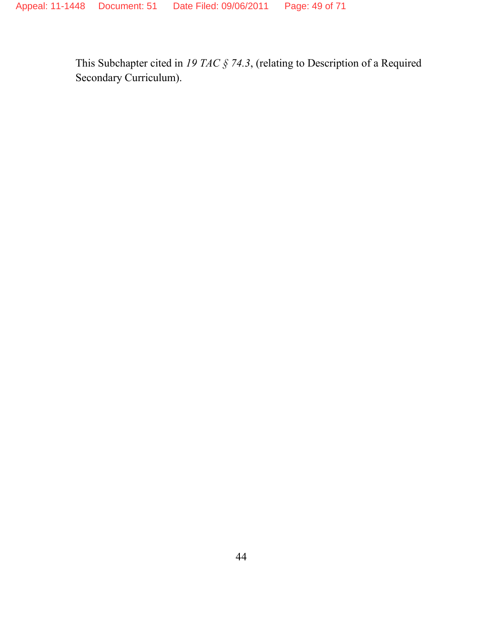This Subchapter cited in *19 TAC § 74.3*, (relating to Description of a Required Secondary Curriculum).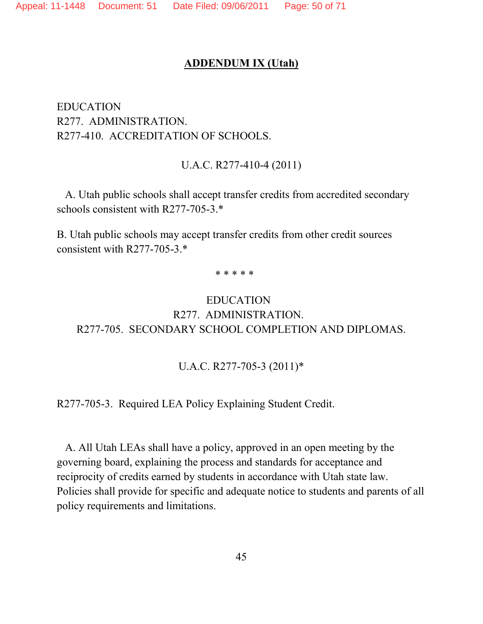#### **ADDENDUM IX (Utah)**

EDUCATION R277. ADMINISTRATION. R277-410. ACCREDITATION OF SCHOOLS.

#### U.A.C. R277-410-4 (2011)

A. Utah public schools shall accept transfer credits from accredited secondary schools consistent with R277-705-3.\*

B. Utah public schools may accept transfer credits from other credit sources consistent with R277-705-3.\*

\* \* \* \* \*

# EDUCATION R277. ADMINISTRATION. R277-705. SECONDARY SCHOOL COMPLETION AND DIPLOMAS.

## U.A.C. R277-705-3 (2011)\*

R277-705-3. Required LEA Policy Explaining Student Credit.

A. All Utah LEAs shall have a policy, approved in an open meeting by the governing board, explaining the process and standards for acceptance and reciprocity of credits earned by students in accordance with Utah state law. Policies shall provide for specific and adequate notice to students and parents of all policy requirements and limitations.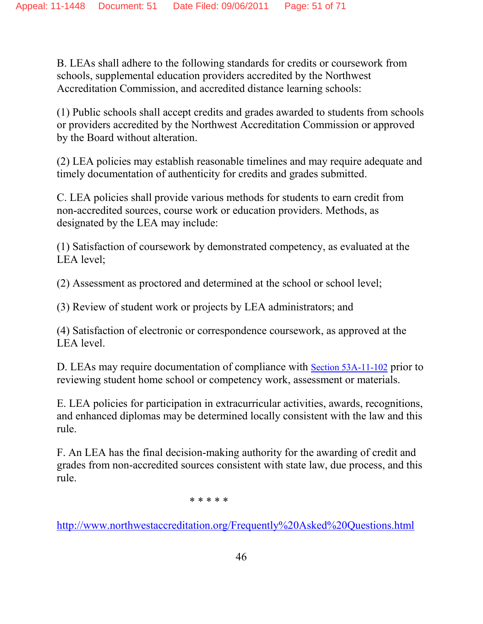B. LEAs shall adhere to the following standards for credits or coursework from schools, supplemental education providers accredited by the Northwest Accreditation Commission, and accredited distance learning schools:

(1) Public schools shall accept credits and grades awarded to students from schools or providers accredited by the Northwest Accreditation Commission or approved by the Board without alteration.

(2) LEA policies may establish reasonable timelines and may require adequate and timely documentation of authenticity for credits and grades submitted.

C. LEA policies shall provide various methods for students to earn credit from non-accredited sources, course work or education providers. Methods, as designated by the LEA may include:

(1) Satisfaction of coursework by demonstrated competency, as evaluated at the LEA level;

(2) Assessment as proctored and determined at the school or school level;

(3) Review of student work or projects by LEA administrators; and

(4) Satisfaction of electronic or correspondence coursework, as approved at the LEA level.

D. LEAs may require documentation of compliance with Section 53A-11-102 prior to reviewing student home school or competency work, assessment or materials.

E. LEA policies for participation in extracurricular activities, awards, recognitions, and enhanced diplomas may be determined locally consistent with the law and this rule.

F. An LEA has the final decision-making authority for the awarding of credit and grades from non-accredited sources consistent with state law, due process, and this rule.

\* \* \* \* \*

http://www.northwestaccreditation.org/Frequently%20Asked%20Questions.html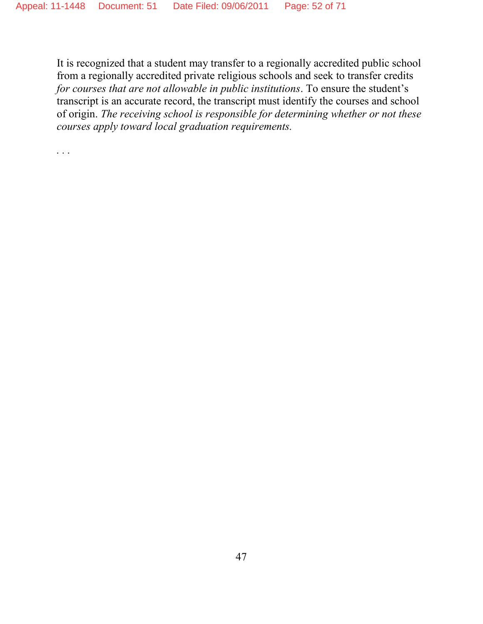It is recognized that a student may transfer to a regionally accredited public school from a regionally accredited private religious schools and seek to transfer credits *for courses that are not allowable in public institutions*. To ensure the student's transcript is an accurate record, the transcript must identify the courses and school of origin. *The receiving school is responsible for determining whether or not these courses apply toward local graduation requirements.*

*. . .*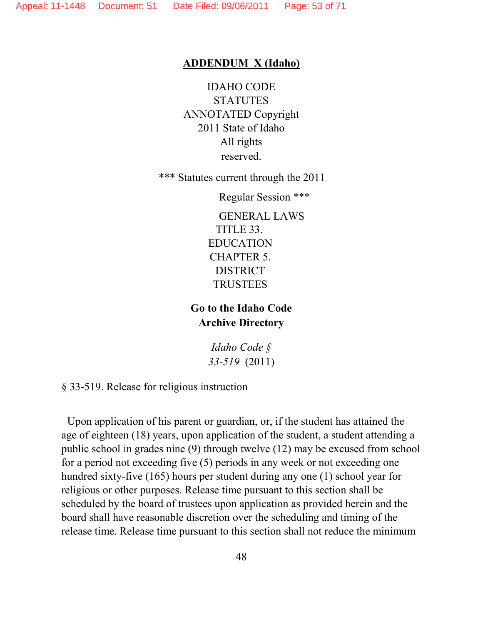## **ADDENDUM X (Idaho)**

IDAHO CODE **STATUTES** ANNOTATED Copyright 2011 State of Idaho All rights reserved.

\*\*\* Statutes current through the 2011

Regular Session \*\*\*

GENERAL LAWS TITLE 33. EDUCATION CHAPTER 5. DISTRICT TRUSTEES

# **Go to the Idaho Code Archive Directory**

*Idaho Code § 33-519* (2011)

§ 33-519. Release for religious instruction

Upon application of his parent or guardian, or, if the student has attained the age of eighteen (18) years, upon application of the student, a student attending a public school in grades nine (9) through twelve (12) may be excused from school for a period not exceeding five (5) periods in any week or not exceeding one hundred sixty-five (165) hours per student during any one (1) school year for religious or other purposes. Release time pursuant to this section shall be scheduled by the board of trustees upon application as provided herein and the board shall have reasonable discretion over the scheduling and timing of the release time. Release time pursuant to this section shall not reduce the minimum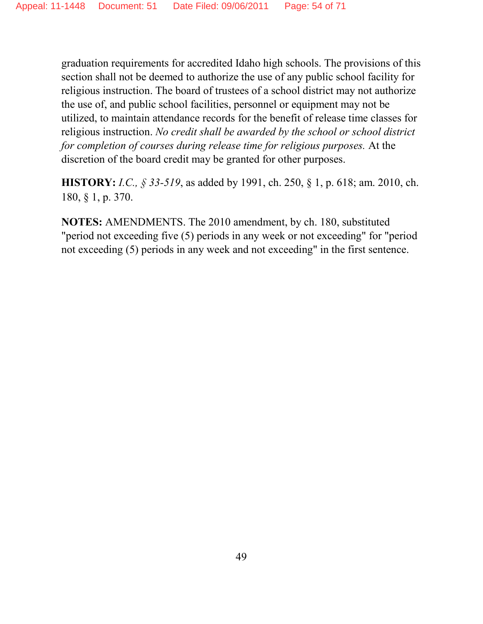graduation requirements for accredited Idaho high schools. The provisions of this section shall not be deemed to authorize the use of any public school facility for religious instruction. The board of trustees of a school district may not authorize the use of, and public school facilities, personnel or equipment may not be utilized, to maintain attendance records for the benefit of release time classes for religious instruction. *No credit shall be awarded by the school or school district for completion of courses during release time for religious purposes.* At the discretion of the board credit may be granted for other purposes.

**HISTORY:** *I.C., § 33-519*, as added by 1991, ch. 250, § 1, p. 618; am. 2010, ch. 180, § 1, p. 370.

**NOTES:** AMENDMENTS. The 2010 amendment, by ch. 180, substituted "period not exceeding five (5) periods in any week or not exceeding" for "period not exceeding (5) periods in any week and not exceeding" in the first sentence.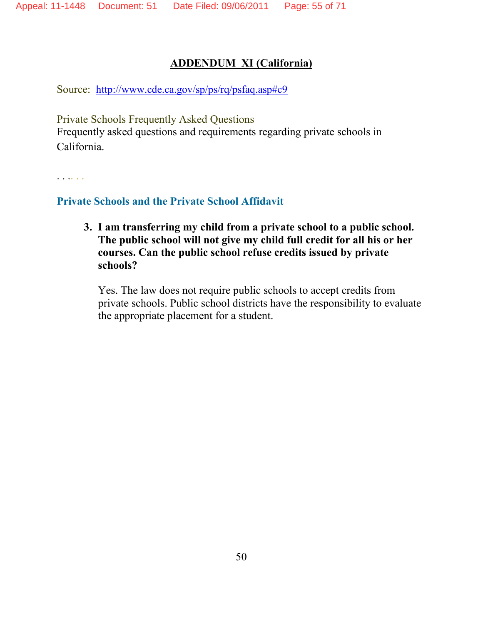# **ADDENDUM XI (California)**

Source: http://www.cde.ca.gov/sp/ps/rq/psfaq.asp#c9

Private Schools Frequently Asked Questions Frequently asked questions and requirements regarding private schools in California.

. . .. . .

## **Private Schools and the Private School Affidavit**

**3. I am transferring my child from a private school to a public school. The public school will not give my child full credit for all his or her courses. Can the public school refuse credits issued by private schools?**

Yes. The law does not require public schools to accept credits from private schools. Public school districts have the responsibility to evaluate the appropriate placement for a student.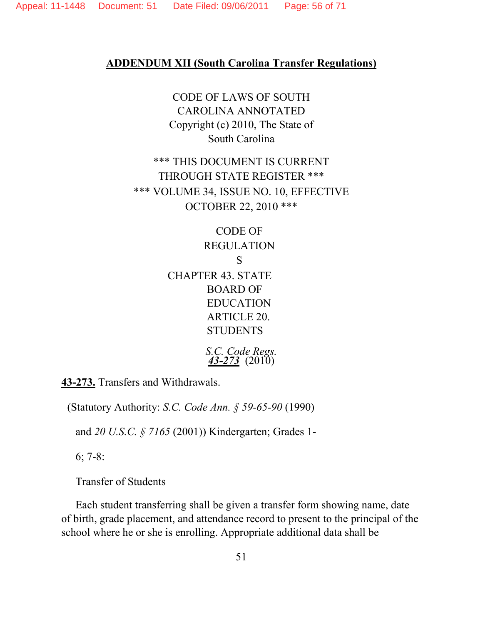## **ADDENDUM XII (South Carolina Transfer Regulations)**

CODE OF LAWS OF SOUTH CAROLINA ANNOTATED Copyright (c) 2010, The State of South Carolina

\*\*\* THIS DOCUMENT IS CURRENT THROUGH STATE REGISTER \*\*\* \*\*\* VOLUME 34, ISSUE NO. 10, EFFECTIVE OCTOBER 22, 2010 \*\*\*

> CODE OF REGULATION S CHAPTER 43. STATE BOARD OF EDUCATION ARTICLE 20. **STUDENTS**

> > *S.C. Code Regs. 43-273* (2010)

**43-273.** Transfers and Withdrawals.

(Statutory Authority: *S.C. Code Ann. § 59-65-90* (1990)

and *20 U.S.C. § 7165* (2001)) Kindergarten; Grades 1-

6; 7-8:

Transfer of Students

Each student transferring shall be given a transfer form showing name, date of birth, grade placement, and attendance record to present to the principal of the school where he or she is enrolling. Appropriate additional data shall be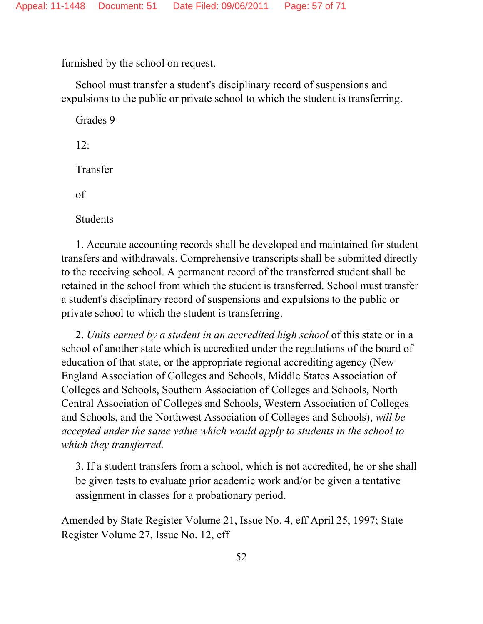furnished by the school on request.

School must transfer a student's disciplinary record of suspensions and expulsions to the public or private school to which the student is transferring.

Grades 9- 12: Transfer of Students

1. Accurate accounting records shall be developed and maintained for student transfers and withdrawals. Comprehensive transcripts shall be submitted directly to the receiving school. A permanent record of the transferred student shall be retained in the school from which the student is transferred. School must transfer a student's disciplinary record of suspensions and expulsions to the public or private school to which the student is transferring.

2. *Units earned by a student in an accredited high school* of this state or in a school of another state which is accredited under the regulations of the board of education of that state, or the appropriate regional accrediting agency (New England Association of Colleges and Schools, Middle States Association of Colleges and Schools, Southern Association of Colleges and Schools, North Central Association of Colleges and Schools, Western Association of Colleges and Schools, and the Northwest Association of Colleges and Schools), *will be accepted under the same value which would apply to students in the school to which they transferred.*

3. If a student transfers from a school, which is not accredited, he or she shall be given tests to evaluate prior academic work and/or be given a tentative assignment in classes for a probationary period.

Amended by State Register Volume 21, Issue No. 4, eff April 25, 1997; State Register Volume 27, Issue No. 12, eff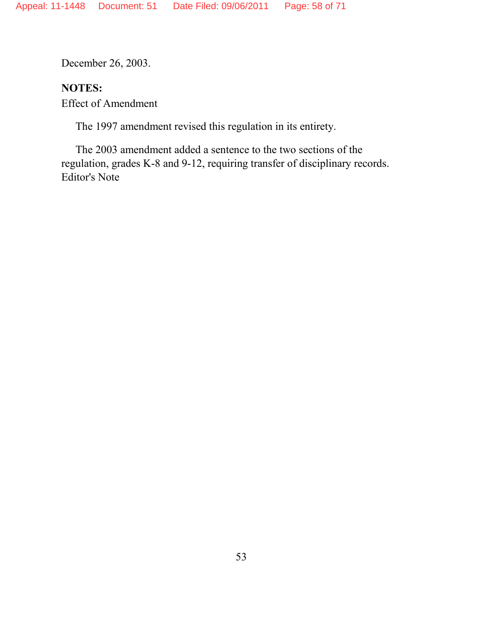December 26, 2003.

# **NOTES:**

Effect of Amendment

The 1997 amendment revised this regulation in its entirety.

The 2003 amendment added a sentence to the two sections of the regulation, grades K-8 and 9-12, requiring transfer of disciplinary records. Editor's Note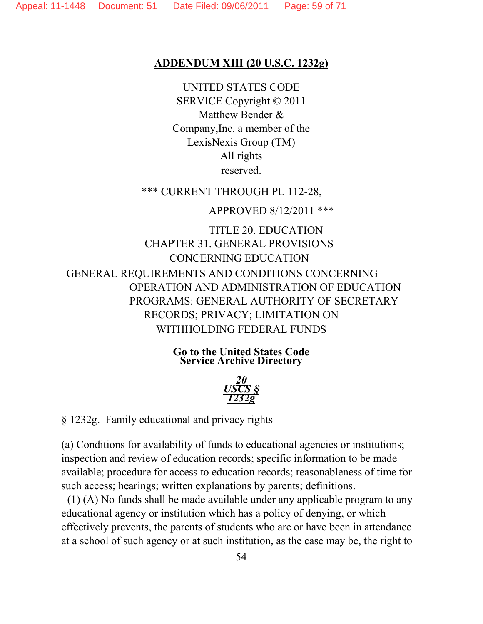## **ADDENDUM XIII (20 U.S.C. 1232g)**

UNITED STATES CODE SERVICE Copyright © 2011 Matthew Bender & Company,Inc. a member of the LexisNexis Group (TM) All rights reserved.

#### \*\*\* CURRENT THROUGH PL 112-28,

APPROVED 8/12/2011 \*\*\*

TITLE 20. EDUCATION CHAPTER 31. GENERAL PROVISIONS CONCERNING EDUCATION GENERAL REQUIREMENTS AND CONDITIONS CONCERNING OPERATION AND ADMINISTRATION OF EDUCATION PROGRAMS: GENERAL AUTHORITY OF SECRETARY RECORDS; PRIVACY; LIMITATION ON WITHHOLDING FEDERAL FUNDS

> **Go to the United States Code Service Archive Directory**



§ 1232g. Family educational and privacy rights

(a) Conditions for availability of funds to educational agencies or institutions; inspection and review of education records; specific information to be made available; procedure for access to education records; reasonableness of time for such access; hearings; written explanations by parents; definitions.

(1) (A) No funds shall be made available under any applicable program to any educational agency or institution which has a policy of denying, or which effectively prevents, the parents of students who are or have been in attendance at a school of such agency or at such institution, as the case may be, the right to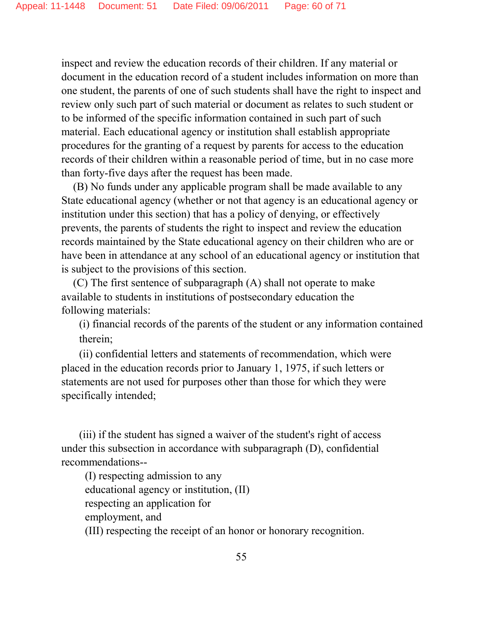inspect and review the education records of their children. If any material or document in the education record of a student includes information on more than one student, the parents of one of such students shall have the right to inspect and review only such part of such material or document as relates to such student or to be informed of the specific information contained in such part of such material. Each educational agency or institution shall establish appropriate procedures for the granting of a request by parents for access to the education records of their children within a reasonable period of time, but in no case more than forty-five days after the request has been made.

(B) No funds under any applicable program shall be made available to any State educational agency (whether or not that agency is an educational agency or institution under this section) that has a policy of denying, or effectively prevents, the parents of students the right to inspect and review the education records maintained by the State educational agency on their children who are or have been in attendance at any school of an educational agency or institution that is subject to the provisions of this section.

(C) The first sentence of subparagraph (A) shall not operate to make available to students in institutions of postsecondary education the following materials:

(i) financial records of the parents of the student or any information contained therein;

(ii) confidential letters and statements of recommendation, which were placed in the education records prior to January 1, 1975, if such letters or statements are not used for purposes other than those for which they were specifically intended;

(iii) if the student has signed a waiver of the student's right of access under this subsection in accordance with subparagraph (D), confidential recommendations--

(I) respecting admission to any educational agency or institution, (II) respecting an application for employment, and (III) respecting the receipt of an honor or honorary recognition.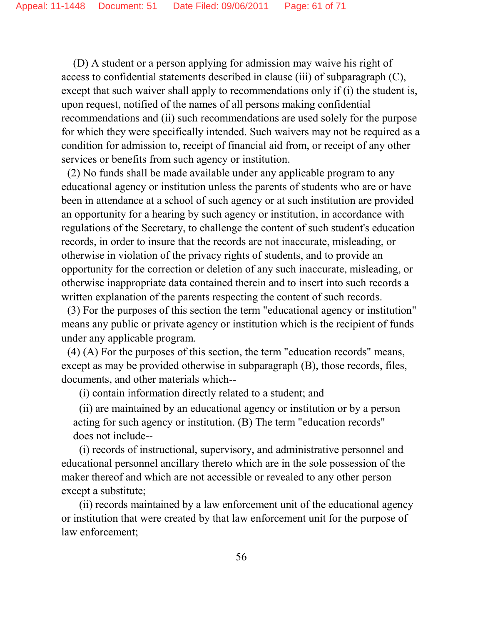(D) A student or a person applying for admission may waive his right of access to confidential statements described in clause (iii) of subparagraph (C), except that such waiver shall apply to recommendations only if (i) the student is, upon request, notified of the names of all persons making confidential recommendations and (ii) such recommendations are used solely for the purpose for which they were specifically intended. Such waivers may not be required as a condition for admission to, receipt of financial aid from, or receipt of any other services or benefits from such agency or institution.

(2) No funds shall be made available under any applicable program to any educational agency or institution unless the parents of students who are or have been in attendance at a school of such agency or at such institution are provided an opportunity for a hearing by such agency or institution, in accordance with regulations of the Secretary, to challenge the content of such student's education records, in order to insure that the records are not inaccurate, misleading, or otherwise in violation of the privacy rights of students, and to provide an opportunity for the correction or deletion of any such inaccurate, misleading, or otherwise inappropriate data contained therein and to insert into such records a written explanation of the parents respecting the content of such records.

(3) For the purposes of this section the term "educational agency or institution" means any public or private agency or institution which is the recipient of funds under any applicable program.

(4) (A) For the purposes of this section, the term "education records" means, except as may be provided otherwise in subparagraph (B), those records, files, documents, and other materials which--

(i) contain information directly related to a student; and

(ii) are maintained by an educational agency or institution or by a person acting for such agency or institution. (B) The term "education records" does not include--

(i) records of instructional, supervisory, and administrative personnel and educational personnel ancillary thereto which are in the sole possession of the maker thereof and which are not accessible or revealed to any other person except a substitute;

(ii) records maintained by a law enforcement unit of the educational agency or institution that were created by that law enforcement unit for the purpose of law enforcement;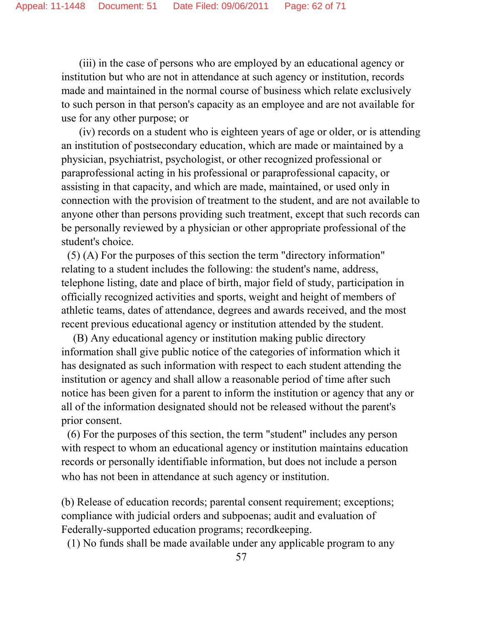(iii) in the case of persons who are employed by an educational agency or institution but who are not in attendance at such agency or institution, records made and maintained in the normal course of business which relate exclusively to such person in that person's capacity as an employee and are not available for use for any other purpose; or

(iv) records on a student who is eighteen years of age or older, or is attending an institution of postsecondary education, which are made or maintained by a physician, psychiatrist, psychologist, or other recognized professional or paraprofessional acting in his professional or paraprofessional capacity, or assisting in that capacity, and which are made, maintained, or used only in connection with the provision of treatment to the student, and are not available to anyone other than persons providing such treatment, except that such records can be personally reviewed by a physician or other appropriate professional of the student's choice.

(5) (A) For the purposes of this section the term "directory information" relating to a student includes the following: the student's name, address, telephone listing, date and place of birth, major field of study, participation in officially recognized activities and sports, weight and height of members of athletic teams, dates of attendance, degrees and awards received, and the most recent previous educational agency or institution attended by the student.

(B) Any educational agency or institution making public directory information shall give public notice of the categories of information which it has designated as such information with respect to each student attending the institution or agency and shall allow a reasonable period of time after such notice has been given for a parent to inform the institution or agency that any or all of the information designated should not be released without the parent's prior consent.

(6) For the purposes of this section, the term "student" includes any person with respect to whom an educational agency or institution maintains education records or personally identifiable information, but does not include a person who has not been in attendance at such agency or institution.

(b) Release of education records; parental consent requirement; exceptions; compliance with judicial orders and subpoenas; audit and evaluation of Federally-supported education programs; recordkeeping.

(1) No funds shall be made available under any applicable program to any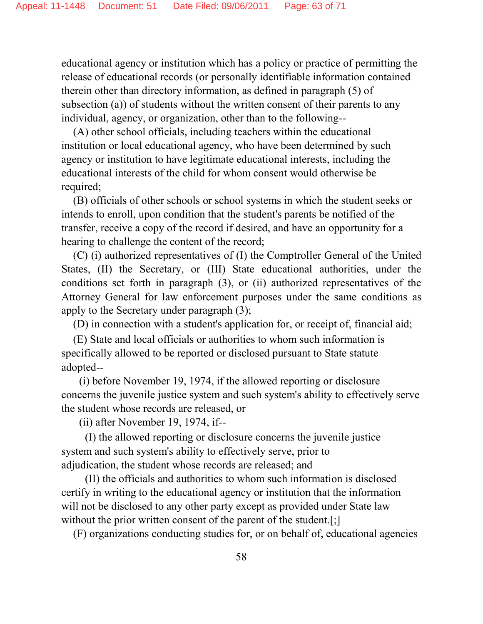educational agency or institution which has a policy or practice of permitting the release of educational records (or personally identifiable information contained therein other than directory information, as defined in paragraph (5) of subsection (a)) of students without the written consent of their parents to any individual, agency, or organization, other than to the following--

(A) other school officials, including teachers within the educational institution or local educational agency, who have been determined by such agency or institution to have legitimate educational interests, including the educational interests of the child for whom consent would otherwise be required;

(B) officials of other schools or school systems in which the student seeks or intends to enroll, upon condition that the student's parents be notified of the transfer, receive a copy of the record if desired, and have an opportunity for a hearing to challenge the content of the record;

(C) (i) authorized representatives of (I) the Comptroller General of the United States, (II) the Secretary, or (III) State educational authorities, under the conditions set forth in paragraph (3), or (ii) authorized representatives of the Attorney General for law enforcement purposes under the same conditions as apply to the Secretary under paragraph (3);

(D) in connection with a student's application for, or receipt of, financial aid;

(E) State and local officials or authorities to whom such information is specifically allowed to be reported or disclosed pursuant to State statute adopted--

(i) before November 19, 1974, if the allowed reporting or disclosure concerns the juvenile justice system and such system's ability to effectively serve the student whose records are released, or

(ii) after November 19, 1974, if--

(I) the allowed reporting or disclosure concerns the juvenile justice system and such system's ability to effectively serve, prior to adjudication, the student whose records are released; and

(II) the officials and authorities to whom such information is disclosed certify in writing to the educational agency or institution that the information will not be disclosed to any other party except as provided under State law without the prior written consent of the parent of the student.[;]

(F) organizations conducting studies for, or on behalf of, educational agencies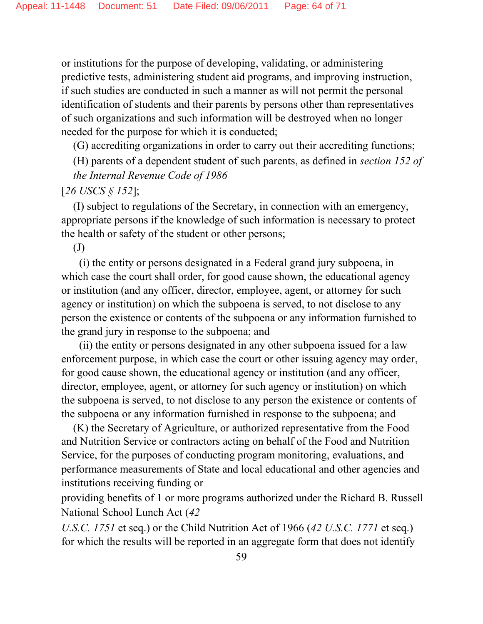or institutions for the purpose of developing, validating, or administering predictive tests, administering student aid programs, and improving instruction, if such studies are conducted in such a manner as will not permit the personal identification of students and their parents by persons other than representatives of such organizations and such information will be destroyed when no longer needed for the purpose for which it is conducted;

(G) accrediting organizations in order to carry out their accrediting functions;

(H) parents of a dependent student of such parents, as defined in *section 152 of the Internal Revenue Code of 1986*

[*26 USCS § 152*];

(I) subject to regulations of the Secretary, in connection with an emergency, appropriate persons if the knowledge of such information is necessary to protect the health or safety of the student or other persons;

(J)

(i) the entity or persons designated in a Federal grand jury subpoena, in which case the court shall order, for good cause shown, the educational agency or institution (and any officer, director, employee, agent, or attorney for such agency or institution) on which the subpoena is served, to not disclose to any person the existence or contents of the subpoena or any information furnished to the grand jury in response to the subpoena; and

(ii) the entity or persons designated in any other subpoena issued for a law enforcement purpose, in which case the court or other issuing agency may order, for good cause shown, the educational agency or institution (and any officer, director, employee, agent, or attorney for such agency or institution) on which the subpoena is served, to not disclose to any person the existence or contents of the subpoena or any information furnished in response to the subpoena; and

(K) the Secretary of Agriculture, or authorized representative from the Food and Nutrition Service or contractors acting on behalf of the Food and Nutrition Service, for the purposes of conducting program monitoring, evaluations, and performance measurements of State and local educational and other agencies and institutions receiving funding or

providing benefits of 1 or more programs authorized under the Richard B. Russell National School Lunch Act (*42*

*U.S.C. 1751* et seq.) or the Child Nutrition Act of 1966 (*42 U.S.C. 1771* et seq.) for which the results will be reported in an aggregate form that does not identify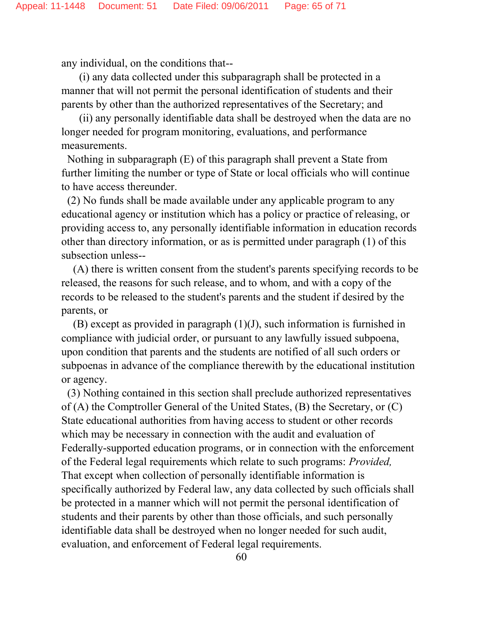any individual, on the conditions that--

(i) any data collected under this subparagraph shall be protected in a manner that will not permit the personal identification of students and their parents by other than the authorized representatives of the Secretary; and

(ii) any personally identifiable data shall be destroyed when the data are no longer needed for program monitoring, evaluations, and performance measurements.

Nothing in subparagraph (E) of this paragraph shall prevent a State from further limiting the number or type of State or local officials who will continue to have access thereunder.

(2) No funds shall be made available under any applicable program to any educational agency or institution which has a policy or practice of releasing, or providing access to, any personally identifiable information in education records other than directory information, or as is permitted under paragraph (1) of this subsection unless--

(A) there is written consent from the student's parents specifying records to be released, the reasons for such release, and to whom, and with a copy of the records to be released to the student's parents and the student if desired by the parents, or

(B) except as provided in paragraph (1)(J), such information is furnished in compliance with judicial order, or pursuant to any lawfully issued subpoena, upon condition that parents and the students are notified of all such orders or subpoenas in advance of the compliance therewith by the educational institution or agency.

(3) Nothing contained in this section shall preclude authorized representatives of (A) the Comptroller General of the United States, (B) the Secretary, or (C) State educational authorities from having access to student or other records which may be necessary in connection with the audit and evaluation of Federally-supported education programs, or in connection with the enforcement of the Federal legal requirements which relate to such programs: *Provided,* That except when collection of personally identifiable information is specifically authorized by Federal law, any data collected by such officials shall be protected in a manner which will not permit the personal identification of students and their parents by other than those officials, and such personally identifiable data shall be destroyed when no longer needed for such audit, evaluation, and enforcement of Federal legal requirements.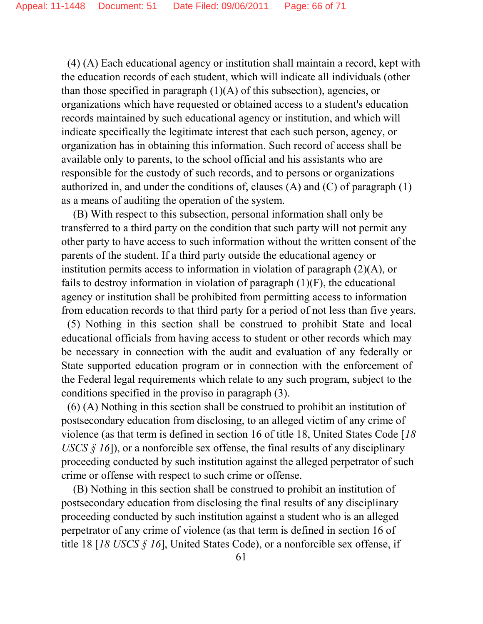(4) (A) Each educational agency or institution shall maintain a record, kept with the education records of each student, which will indicate all individuals (other than those specified in paragraph  $(1)(A)$  of this subsection), agencies, or organizations which have requested or obtained access to a student's education records maintained by such educational agency or institution, and which will indicate specifically the legitimate interest that each such person, agency, or organization has in obtaining this information. Such record of access shall be available only to parents, to the school official and his assistants who are responsible for the custody of such records, and to persons or organizations authorized in, and under the conditions of, clauses  $(A)$  and  $(C)$  of paragraph  $(1)$ as a means of auditing the operation of the system.

(B) With respect to this subsection, personal information shall only be transferred to a third party on the condition that such party will not permit any other party to have access to such information without the written consent of the parents of the student. If a third party outside the educational agency or institution permits access to information in violation of paragraph (2)(A), or fails to destroy information in violation of paragraph (1)(F), the educational agency or institution shall be prohibited from permitting access to information from education records to that third party for a period of not less than five years.

(5) Nothing in this section shall be construed to prohibit State and local educational officials from having access to student or other records which may be necessary in connection with the audit and evaluation of any federally or State supported education program or in connection with the enforcement of the Federal legal requirements which relate to any such program, subject to the conditions specified in the proviso in paragraph (3).

(6) (A) Nothing in this section shall be construed to prohibit an institution of postsecondary education from disclosing, to an alleged victim of any crime of violence (as that term is defined in section 16 of title 18, United States Code [*18 USCS* § 16]), or a nonforcible sex offense, the final results of any disciplinary proceeding conducted by such institution against the alleged perpetrator of such crime or offense with respect to such crime or offense.

(B) Nothing in this section shall be construed to prohibit an institution of postsecondary education from disclosing the final results of any disciplinary proceeding conducted by such institution against a student who is an alleged perpetrator of any crime of violence (as that term is defined in section 16 of title 18 [*18 USCS § 16*], United States Code), or a nonforcible sex offense, if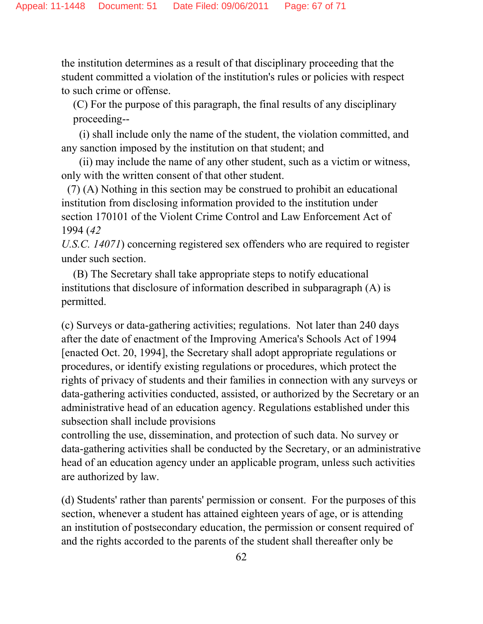the institution determines as a result of that disciplinary proceeding that the student committed a violation of the institution's rules or policies with respect to such crime or offense.

(C) For the purpose of this paragraph, the final results of any disciplinary proceeding--

(i) shall include only the name of the student, the violation committed, and any sanction imposed by the institution on that student; and

(ii) may include the name of any other student, such as a victim or witness, only with the written consent of that other student.

(7) (A) Nothing in this section may be construed to prohibit an educational institution from disclosing information provided to the institution under section 170101 of the Violent Crime Control and Law Enforcement Act of 1994 (*42*

*U.S.C. 14071*) concerning registered sex offenders who are required to register under such section.

(B) The Secretary shall take appropriate steps to notify educational institutions that disclosure of information described in subparagraph (A) is permitted.

(c) Surveys or data-gathering activities; regulations. Not later than 240 days after the date of enactment of the Improving America's Schools Act of 1994 [enacted Oct. 20, 1994], the Secretary shall adopt appropriate regulations or procedures, or identify existing regulations or procedures, which protect the rights of privacy of students and their families in connection with any surveys or data-gathering activities conducted, assisted, or authorized by the Secretary or an administrative head of an education agency. Regulations established under this subsection shall include provisions

controlling the use, dissemination, and protection of such data. No survey or data-gathering activities shall be conducted by the Secretary, or an administrative head of an education agency under an applicable program, unless such activities are authorized by law.

(d) Students' rather than parents' permission or consent. For the purposes of this section, whenever a student has attained eighteen years of age, or is attending an institution of postsecondary education, the permission or consent required of and the rights accorded to the parents of the student shall thereafter only be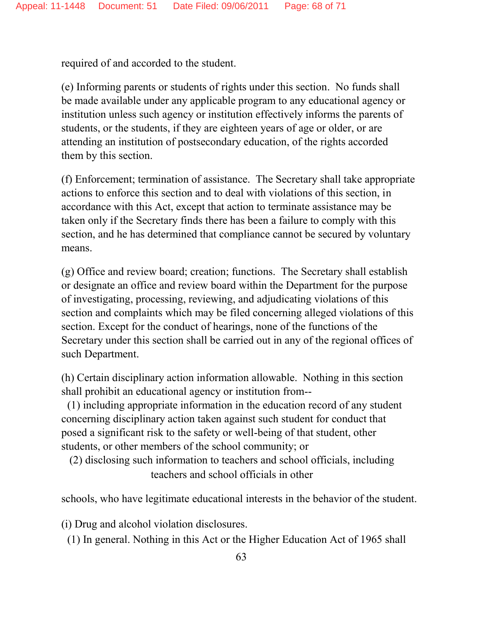required of and accorded to the student.

(e) Informing parents or students of rights under this section. No funds shall be made available under any applicable program to any educational agency or institution unless such agency or institution effectively informs the parents of students, or the students, if they are eighteen years of age or older, or are attending an institution of postsecondary education, of the rights accorded them by this section.

(f) Enforcement; termination of assistance. The Secretary shall take appropriate actions to enforce this section and to deal with violations of this section, in accordance with this Act, except that action to terminate assistance may be taken only if the Secretary finds there has been a failure to comply with this section, and he has determined that compliance cannot be secured by voluntary means.

(g) Office and review board; creation; functions. The Secretary shall establish or designate an office and review board within the Department for the purpose of investigating, processing, reviewing, and adjudicating violations of this section and complaints which may be filed concerning alleged violations of this section. Except for the conduct of hearings, none of the functions of the Secretary under this section shall be carried out in any of the regional offices of such Department.

(h) Certain disciplinary action information allowable. Nothing in this section shall prohibit an educational agency or institution from--

(1) including appropriate information in the education record of any student concerning disciplinary action taken against such student for conduct that posed a significant risk to the safety or well-being of that student, other students, or other members of the school community; or

(2) disclosing such information to teachers and school officials, including teachers and school officials in other

schools, who have legitimate educational interests in the behavior of the student.

(i) Drug and alcohol violation disclosures.

(1) In general. Nothing in this Act or the Higher Education Act of 1965 shall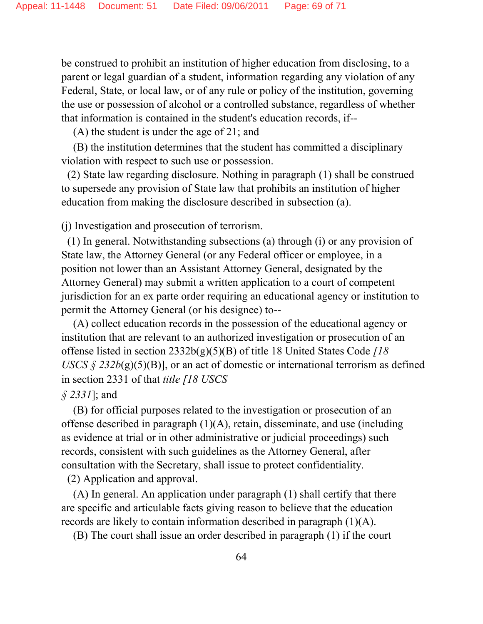be construed to prohibit an institution of higher education from disclosing, to a parent or legal guardian of a student, information regarding any violation of any Federal, State, or local law, or of any rule or policy of the institution, governing the use or possession of alcohol or a controlled substance, regardless of whether that information is contained in the student's education records, if--

(A) the student is under the age of 21; and

(B) the institution determines that the student has committed a disciplinary violation with respect to such use or possession.

(2) State law regarding disclosure. Nothing in paragraph (1) shall be construed to supersede any provision of State law that prohibits an institution of higher education from making the disclosure described in subsection (a).

(j) Investigation and prosecution of terrorism.

(1) In general. Notwithstanding subsections (a) through (i) or any provision of State law, the Attorney General (or any Federal officer or employee, in a position not lower than an Assistant Attorney General, designated by the Attorney General) may submit a written application to a court of competent jurisdiction for an ex parte order requiring an educational agency or institution to permit the Attorney General (or his designee) to--

(A) collect education records in the possession of the educational agency or institution that are relevant to an authorized investigation or prosecution of an offense listed in section 2332b(g)(5)(B) of title 18 United States Code *[18 USCS*  $\oint$  232b(g)(5)(B)], or an act of domestic or international terrorism as defined in section 2331 of that *title [18 USCS*

## *§ 2331*]; and

(B) for official purposes related to the investigation or prosecution of an offense described in paragraph (1)(A), retain, disseminate, and use (including as evidence at trial or in other administrative or judicial proceedings) such records, consistent with such guidelines as the Attorney General, after consultation with the Secretary, shall issue to protect confidentiality.

(2) Application and approval.

(A) In general. An application under paragraph (1) shall certify that there are specific and articulable facts giving reason to believe that the education records are likely to contain information described in paragraph (1)(A).

(B) The court shall issue an order described in paragraph (1) if the court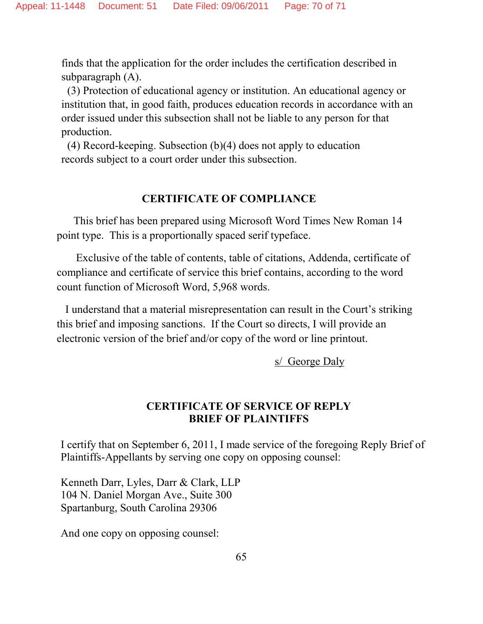finds that the application for the order includes the certification described in subparagraph (A).

(3) Protection of educational agency or institution. An educational agency or institution that, in good faith, produces education records in accordance with an order issued under this subsection shall not be liable to any person for that production.

(4) Record-keeping. Subsection (b)(4) does not apply to education records subject to a court order under this subsection.

## **CERTIFICATE OF COMPLIANCE**

This brief has been prepared using Microsoft Word Times New Roman 14 point type. This is a proportionally spaced serif typeface.

Exclusive of the table of contents, table of citations, Addenda, certificate of compliance and certificate of service this brief contains, according to the word count function of Microsoft Word, 5,968 words.

I understand that a material misrepresentation can result in the Court's striking this brief and imposing sanctions. If the Court so directs, I will provide an electronic version of the brief and/or copy of the word or line printout.

s/ George Daly

## **CERTIFICATE OF SERVICE OF REPLY BRIEF OF PLAINTIFFS**

I certify that on September 6, 2011, I made service of the foregoing Reply Brief of Plaintiffs-Appellants by serving one copy on opposing counsel:

Kenneth Darr, Lyles, Darr & Clark, LLP 104 N. Daniel Morgan Ave., Suite 300 Spartanburg, South Carolina 29306

And one copy on opposing counsel: